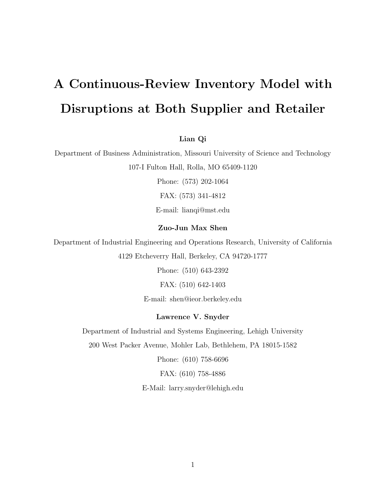# A Continuous-Review Inventory Model with Disruptions at Both Supplier and Retailer

#### Lian Qi

Department of Business Administration, Missouri University of Science and Technology

107-I Fulton Hall, Rolla, MO 65409-1120

Phone: (573) 202-1064

FAX: (573) 341-4812

E-mail: lianqi@mst.edu

#### Zuo-Jun Max Shen

Department of Industrial Engineering and Operations Research, University of California

4129 Etcheverry Hall, Berkeley, CA 94720-1777

Phone: (510) 643-2392

FAX: (510) 642-1403

E-mail: shen@ieor.berkeley.edu

#### Lawrence V. Snyder

Department of Industrial and Systems Engineering, Lehigh University

200 West Packer Avenue, Mohler Lab, Bethlehem, PA 18015-1582

Phone: (610) 758-6696

FAX: (610) 758-4886

E-Mail: larry.snyder@lehigh.edu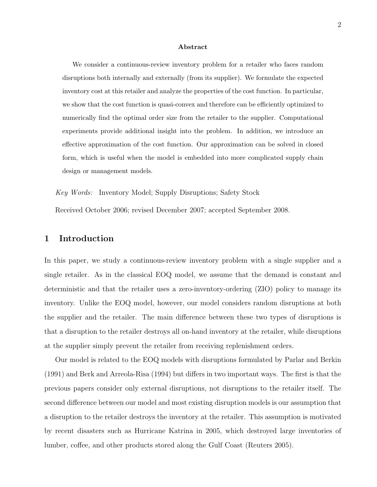#### Abstract

We consider a continuous-review inventory problem for a retailer who faces random disruptions both internally and externally (from its supplier). We formulate the expected inventory cost at this retailer and analyze the properties of the cost function. In particular, we show that the cost function is quasi-convex and therefore can be efficiently optimized to numerically find the optimal order size from the retailer to the supplier. Computational experiments provide additional insight into the problem. In addition, we introduce an effective approximation of the cost function. Our approximation can be solved in closed form, which is useful when the model is embedded into more complicated supply chain design or management models.

Key Words: Inventory Model; Supply Disruptions; Safety Stock

Received October 2006; revised December 2007; accepted September 2008.

## 1 Introduction

In this paper, we study a continuous-review inventory problem with a single supplier and a single retailer. As in the classical EOQ model, we assume that the demand is constant and deterministic and that the retailer uses a zero-inventory-ordering (ZIO) policy to manage its inventory. Unlike the EOQ model, however, our model considers random disruptions at both the supplier and the retailer. The main difference between these two types of disruptions is that a disruption to the retailer destroys all on-hand inventory at the retailer, while disruptions at the supplier simply prevent the retailer from receiving replenishment orders.

Our model is related to the EOQ models with disruptions formulated by Parlar and Berkin (1991) and Berk and Arreola-Risa (1994) but differs in two important ways. The first is that the previous papers consider only external disruptions, not disruptions to the retailer itself. The second difference between our model and most existing disruption models is our assumption that a disruption to the retailer destroys the inventory at the retailer. This assumption is motivated by recent disasters such as Hurricane Katrina in 2005, which destroyed large inventories of lumber, coffee, and other products stored along the Gulf Coast (Reuters 2005).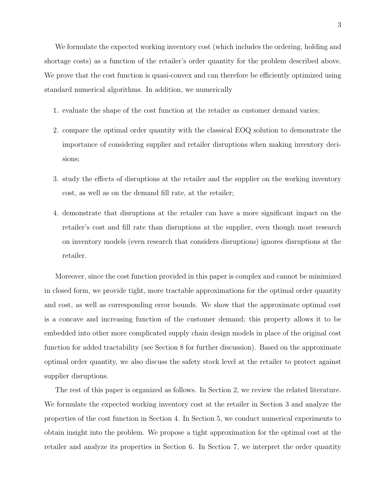We formulate the expected working inventory cost (which includes the ordering, holding and shortage costs) as a function of the retailer's order quantity for the problem described above. We prove that the cost function is quasi-convex and can therefore be efficiently optimized using standard numerical algorithms. In addition, we numerically

- 1. evaluate the shape of the cost function at the retailer as customer demand varies;
- 2. compare the optimal order quantity with the classical EOQ solution to demonstrate the importance of considering supplier and retailer disruptions when making inventory decisions;
- 3. study the effects of disruptions at the retailer and the supplier on the working inventory cost, as well as on the demand fill rate, at the retailer;
- 4. demonstrate that disruptions at the retailer can have a more significant impact on the retailer's cost and fill rate than disruptions at the supplier, even though most research on inventory models (even research that considers disruptions) ignores disruptions at the retailer.

Moreover, since the cost function provided in this paper is complex and cannot be minimized in closed form, we provide tight, more tractable approximations for the optimal order quantity and cost, as well as corresponding error bounds. We show that the approximate optimal cost is a concave and increasing function of the customer demand; this property allows it to be embedded into other more complicated supply chain design models in place of the original cost function for added tractability (see Section 8 for further discussion). Based on the approximate optimal order quantity, we also discuss the safety stock level at the retailer to protect against supplier disruptions.

The rest of this paper is organized as follows. In Section 2, we review the related literature. We formulate the expected working inventory cost at the retailer in Section 3 and analyze the properties of the cost function in Section 4. In Section 5, we conduct numerical experiments to obtain insight into the problem. We propose a tight approximation for the optimal cost at the retailer and analyze its properties in Section 6. In Section 7, we interpret the order quantity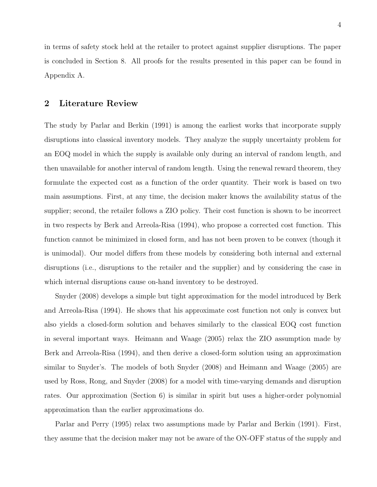in terms of safety stock held at the retailer to protect against supplier disruptions. The paper is concluded in Section 8. All proofs for the results presented in this paper can be found in Appendix A.

### 2 Literature Review

The study by Parlar and Berkin (1991) is among the earliest works that incorporate supply disruptions into classical inventory models. They analyze the supply uncertainty problem for an EOQ model in which the supply is available only during an interval of random length, and then unavailable for another interval of random length. Using the renewal reward theorem, they formulate the expected cost as a function of the order quantity. Their work is based on two main assumptions. First, at any time, the decision maker knows the availability status of the supplier; second, the retailer follows a ZIO policy. Their cost function is shown to be incorrect in two respects by Berk and Arreola-Risa (1994), who propose a corrected cost function. This function cannot be minimized in closed form, and has not been proven to be convex (though it is unimodal). Our model differs from these models by considering both internal and external disruptions (i.e., disruptions to the retailer and the supplier) and by considering the case in which internal disruptions cause on-hand inventory to be destroyed.

Snyder (2008) develops a simple but tight approximation for the model introduced by Berk and Arreola-Risa (1994). He shows that his approximate cost function not only is convex but also yields a closed-form solution and behaves similarly to the classical EOQ cost function in several important ways. Heimann and Waage (2005) relax the ZIO assumption made by Berk and Arreola-Risa (1994), and then derive a closed-form solution using an approximation similar to Snyder's. The models of both Snyder (2008) and Heimann and Waage (2005) are used by Ross, Rong, and Snyder (2008) for a model with time-varying demands and disruption rates. Our approximation (Section 6) is similar in spirit but uses a higher-order polynomial approximation than the earlier approximations do.

Parlar and Perry (1995) relax two assumptions made by Parlar and Berkin (1991). First, they assume that the decision maker may not be aware of the ON-OFF status of the supply and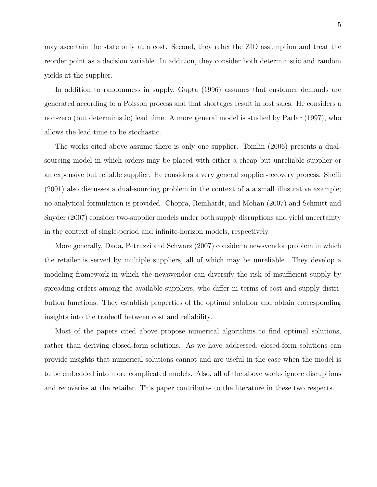may ascertain the state only at a cost. Second, they relax the ZIO assumption and treat the reorder point as a decision variable. In addition, they consider both deterministic and random yields at the supplier.

In addition to randomness in supply, Gupta (1996) assumes that customer demands are generated according to a Poisson process and that shortages result in lost sales. He considers a non-zero (but deterministic) lead time. A more general model is studied by Parlar (1997), who allows the lead time to be stochastic.

The works cited above assume there is only one supplier. Tomlin (2006) presents a dualsourcing model in which orders may be placed with either a cheap but unreliable supplier or an expensive but reliable supplier. He considers a very general supplier-recovery process. Sheffi (2001) also discusses a dual-sourcing problem in the context of a a small illustrative example; no analytical formulation is provided. Chopra, Reinhardt, and Mohan (2007) and Schmitt and Snyder (2007) consider two-supplier models under both supply disruptions and yield uncertainty in the context of single-period and infinite-horizon models, respectively.

More generally, Dada, Petruzzi and Schwarz (2007) consider a newsvendor problem in which the retailer is served by multiple suppliers, all of which may be unreliable. They develop a modeling framework in which the newsvendor can diversify the risk of insufficient supply by spreading orders among the available suppliers, who differ in terms of cost and supply distribution functions. They establish properties of the optimal solution and obtain corresponding insights into the tradeoff between cost and reliability.

Most of the papers cited above propose numerical algorithms to find optimal solutions, rather than deriving closed-form solutions. As we have addressed, closed-form solutions can provide insights that numerical solutions cannot and are useful in the case when the model is to be embedded into more complicated models. Also, all of the above works ignore disruptions and recoveries at the retailer. This paper contributes to the literature in these two respects.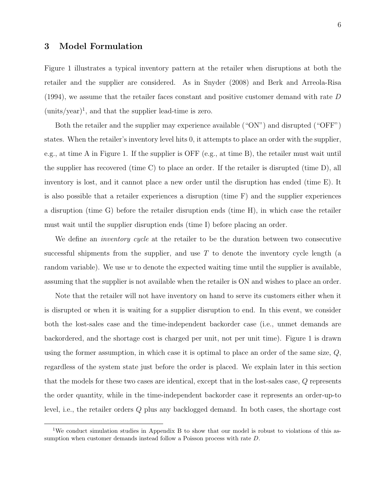## 3 Model Formulation

Figure 1 illustrates a typical inventory pattern at the retailer when disruptions at both the retailer and the supplier are considered. As in Snyder (2008) and Berk and Arreola-Risa (1994), we assume that the retailer faces constant and positive customer demand with rate D  $(\text{units}/\text{year})^1$ , and that the supplier lead-time is zero.

Both the retailer and the supplier may experience available ("ON") and disrupted ("OFF") states. When the retailer's inventory level hits 0, it attempts to place an order with the supplier, e.g., at time A in Figure 1. If the supplier is OFF (e.g., at time B), the retailer must wait until the supplier has recovered (time C) to place an order. If the retailer is disrupted (time D), all inventory is lost, and it cannot place a new order until the disruption has ended (time E). It is also possible that a retailer experiences a disruption (time F) and the supplier experiences a disruption (time G) before the retailer disruption ends (time H), in which case the retailer must wait until the supplier disruption ends (time I) before placing an order.

We define an *inventory cycle* at the retailer to be the duration between two consecutive successful shipments from the supplier, and use  $T$  to denote the inventory cycle length (a random variable). We use  $w$  to denote the expected waiting time until the supplier is available, assuming that the supplier is not available when the retailer is ON and wishes to place an order.

Note that the retailer will not have inventory on hand to serve its customers either when it is disrupted or when it is waiting for a supplier disruption to end. In this event, we consider both the lost-sales case and the time-independent backorder case (i.e., unmet demands are backordered, and the shortage cost is charged per unit, not per unit time). Figure 1 is drawn using the former assumption, in which case it is optimal to place an order of the same size,  $Q$ , regardless of the system state just before the order is placed. We explain later in this section that the models for these two cases are identical, except that in the lost-sales case, Q represents the order quantity, while in the time-independent backorder case it represents an order-up-to level, i.e., the retailer orders Q plus any backlogged demand. In both cases, the shortage cost

<sup>1</sup>We conduct simulation studies in Appendix B to show that our model is robust to violations of this assumption when customer demands instead follow a Poisson process with rate D.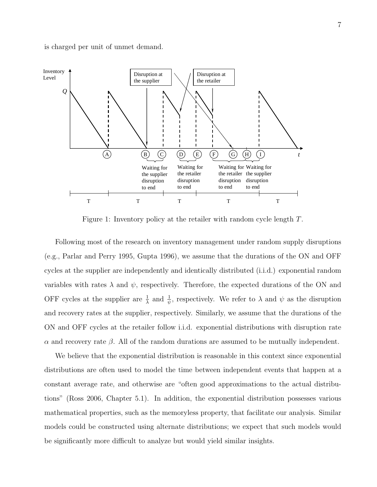is charged per unit of unmet demand.



Figure 1: Inventory policy at the retailer with random cycle length T.

Following most of the research on inventory management under random supply disruptions (e.g., Parlar and Perry 1995, Gupta 1996), we assume that the durations of the ON and OFF cycles at the supplier are independently and identically distributed (i.i.d.) exponential random variables with rates  $\lambda$  and  $\psi$ , respectively. Therefore, the expected durations of the ON and OFF cycles at the supplier are  $\frac{1}{\lambda}$  and  $\frac{1}{\psi}$ , respectively. We refer to  $\lambda$  and  $\psi$  as the disruption and recovery rates at the supplier, respectively. Similarly, we assume that the durations of the ON and OFF cycles at the retailer follow i.i.d. exponential distributions with disruption rate α and recovery rate β. All of the random durations are assumed to be mutually independent.

We believe that the exponential distribution is reasonable in this context since exponential distributions are often used to model the time between independent events that happen at a constant average rate, and otherwise are "often good approximations to the actual distributions" (Ross 2006, Chapter 5.1). In addition, the exponential distribution possesses various mathematical properties, such as the memoryless property, that facilitate our analysis. Similar models could be constructed using alternate distributions; we expect that such models would be significantly more difficult to analyze but would yield similar insights.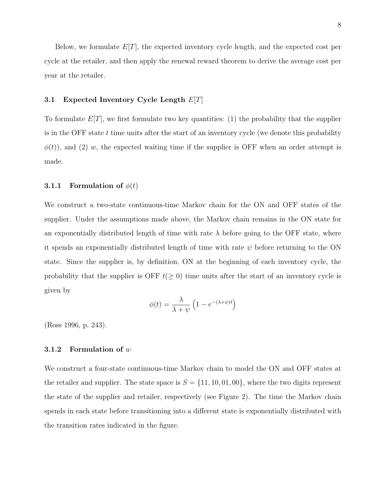Below, we formulate  $E[T]$ , the expected inventory cycle length, and the expected cost per cycle at the retailer, and then apply the renewal reward theorem to derive the average cost per year at the retailer.

#### 3.1 Expected Inventory Cycle Length  $E[T]$

To formulate  $E[T]$ , we first formulate two key quantities: (1) the probability that the supplier is in the OFF state  $t$  time units after the start of an inventory cycle (we denote this probability  $\phi(t)$ , and (2) w, the expected waiting time if the supplier is OFF when an order attempt is made.

#### **3.1.1 Formulation of**  $\phi(t)$

We construct a two-state continuous-time Markov chain for the ON and OFF states of the supplier. Under the assumptions made above, the Markov chain remains in the ON state for an exponentially distributed length of time with rate  $\lambda$  before going to the OFF state, where it spends an exponentially distributed length of time with rate  $\psi$  before returning to the ON state. Since the supplier is, by definition, ON at the beginning of each inventory cycle, the probability that the supplier is OFF  $t(\geq 0)$  time units after the start of an inventory cycle is given by

$$
\phi(t) = \frac{\lambda}{\lambda + \psi} \left( 1 - e^{-(\lambda + \psi)t} \right)
$$

(Ross 1996, p. 243).

#### 3.1.2 Formulation of w

We construct a four-state continuous-time Markov chain to model the ON and OFF states at the retailer and supplier. The state space is  $S = \{11, 10, 01, 00\}$ , where the two digits represent the state of the supplier and retailer, respectively (see Figure 2). The time the Markov chain spends in each state before transitioning into a different state is exponentially distributed with the transition rates indicated in the figure.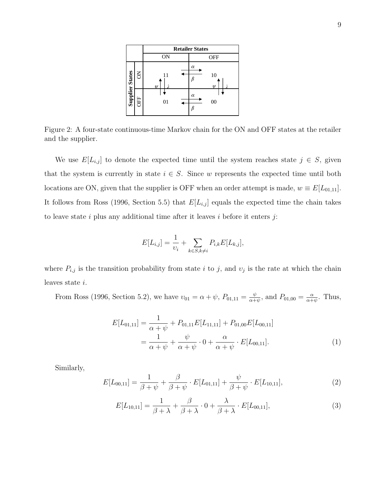

Figure 2: A four-state continuous-time Markov chain for the ON and OFF states at the retailer and the supplier.

We use  $E[L_{i,j}]$  to denote the expected time until the system reaches state  $j \in S$ , given that the system is currently in state  $i \in S$ . Since w represents the expected time until both locations are ON, given that the supplier is OFF when an order attempt is made,  $w \equiv E[L_{01,11}]$ . It follows from Ross (1996, Section 5.5) that  $E[L_{i,j}]$  equals the expected time the chain takes to leave state i plus any additional time after it leaves i before it enters j:

$$
E[L_{i,j}] = \frac{1}{v_i} + \sum_{k \in S, k \neq i} P_{i,k} E[L_{k,j}],
$$

where  $P_{i,j}$  is the transition probability from state i to j, and  $v_j$  is the rate at which the chain leaves state i.

From Ross (1996, Section 5.2), we have  $v_{01} = \alpha + \psi$ ,  $P_{01,11} = \frac{\psi}{\alpha + \psi}$  $\frac{\psi}{\alpha+\psi}$ , and  $P_{01,00} = \frac{\alpha}{\alpha+\psi}$  $\frac{\alpha}{\alpha+\psi}$ . Thus,

$$
E[L_{01,11}] = \frac{1}{\alpha + \psi} + P_{01,11}E[L_{11,11}] + P_{01,00}E[L_{00,11}]
$$
  
= 
$$
\frac{1}{\alpha + \psi} + \frac{\psi}{\alpha + \psi} \cdot 0 + \frac{\alpha}{\alpha + \psi} \cdot E[L_{00,11}].
$$
 (1)

Similarly,

$$
E[L_{00,11}] = \frac{1}{\beta + \psi} + \frac{\beta}{\beta + \psi} \cdot E[L_{01,11}] + \frac{\psi}{\beta + \psi} \cdot E[L_{10,11}],
$$
 (2)

$$
E[L_{10,11}] = \frac{1}{\beta + \lambda} + \frac{\beta}{\beta + \lambda} \cdot 0 + \frac{\lambda}{\beta + \lambda} \cdot E[L_{00,11}],
$$
\n(3)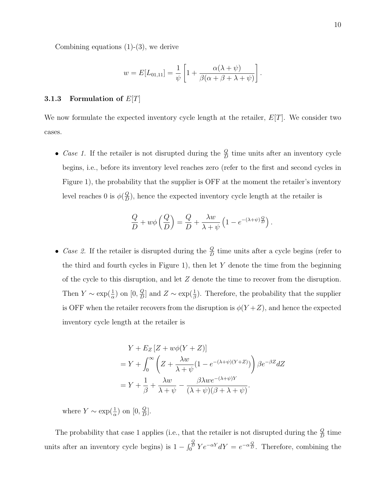Combining equations  $(1)-(3)$ , we derive

$$
w = E[L_{01,11}] = \frac{1}{\psi} \left[ 1 + \frac{\alpha(\lambda + \psi)}{\beta(\alpha + \beta + \lambda + \psi)} \right].
$$

#### 3.1.3 Formulation of  $E[T]$

We now formulate the expected inventory cycle length at the retailer,  $E[T]$ . We consider two cases.

• Case 1. If the retailer is not disrupted during the  $\frac{Q}{D}$  time units after an inventory cycle begins, i.e., before its inventory level reaches zero (refer to the first and second cycles in Figure 1), the probability that the supplier is OFF at the moment the retailer's inventory level reaches 0 is  $\phi(\frac{Q}{D})$  $\frac{Q}{D}$ ), hence the expected inventory cycle length at the retailer is

$$
\frac{Q}{D} + w\phi\left(\frac{Q}{D}\right) = \frac{Q}{D} + \frac{\lambda w}{\lambda + \psi} \left(1 - e^{-(\lambda + \psi)\frac{Q}{D}}\right).
$$

• Case 2. If the retailer is disrupted during the  $\frac{Q}{D}$  time units after a cycle begins (refer to the third and fourth cycles in Figure 1), then let  $Y$  denote the time from the beginning of the cycle to this disruption, and let Z denote the time to recover from the disruption. Then  $Y \sim \exp(\frac{1}{\alpha})$  on  $[0, \frac{Q}{D}]$  $\frac{Q}{D}$  and  $Z \sim \exp(\frac{1}{\beta})$ . Therefore, the probability that the supplier is OFF when the retailer recovers from the disruption is  $\phi(Y+Z)$ , and hence the expected inventory cycle length at the retailer is

$$
Y + E_Z \left[ Z + w\phi(Y + Z) \right]
$$
  
=  $Y + \int_0^\infty \left( Z + \frac{\lambda w}{\lambda + \psi} (1 - e^{-(\lambda + \psi)(Y + Z)}) \right) \beta e^{-\beta Z} dZ$   
=  $Y + \frac{1}{\beta} + \frac{\lambda w}{\lambda + \psi} - \frac{\beta \lambda w e^{-(\lambda + \psi)Y}}{(\lambda + \psi)(\beta + \lambda + \psi)}.$ 

where  $Y \sim \exp(\frac{1}{\alpha})$  on  $[0, \frac{Q}{D}]$  $\frac{Q}{D}$ .

The probability that case 1 applies (i.e., that the retailer is not disrupted during the  $\frac{Q}{D}$  time units after an inventory cycle begins) is  $1 - \int_0^{\frac{Q}{D}} Y e^{-\alpha Y} dY = e^{-\alpha \frac{Q}{D}}$ . Therefore, combining the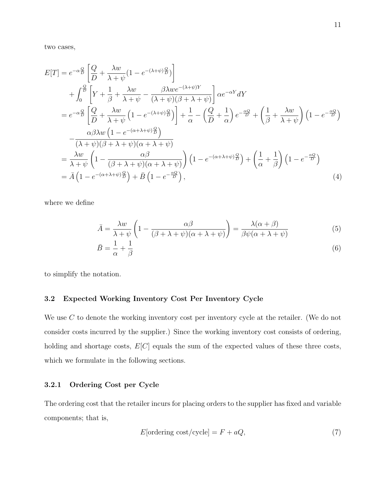two cases,

$$
E[T] = e^{-\alpha \frac{Q}{D}} \left[ \frac{Q}{D} + \frac{\lambda w}{\lambda + \psi} (1 - e^{-(\lambda + \psi)} \frac{\beta}{D}) \right]
$$
  
+ 
$$
\int_{0}^{\frac{Q}{D}} \left[ Y + \frac{1}{\beta} + \frac{\lambda w}{\lambda + \psi} - \frac{\beta \lambda w e^{-(\lambda + \psi)Y}}{(\lambda + \psi)(\beta + \lambda + \psi)} \right] \alpha e^{-\alpha Y} dY
$$
  
= 
$$
e^{-\alpha \frac{Q}{D}} \left[ \frac{Q}{D} + \frac{\lambda w}{\lambda + \psi} \left( 1 - e^{-(\lambda + \psi)} \frac{\beta}{D} \right) \right] + \frac{1}{\alpha} - \left( \frac{Q}{D} + \frac{1}{\alpha} \right) e^{-\frac{\alpha Q}{D}} + \left( \frac{1}{\beta} + \frac{\lambda w}{\lambda + \psi} \right) \left( 1 - e^{-\frac{\alpha Q}{D}} \right)
$$
  

$$
- \frac{\alpha \beta \lambda w \left( 1 - e^{-(\alpha + \lambda + \psi)} \frac{\beta}{D} \right)}{(\lambda + \psi)(\beta + \lambda + \psi)(\alpha + \lambda + \psi)}
$$
  
= 
$$
\frac{\lambda w}{\lambda + \psi} \left( 1 - \frac{\alpha \beta}{(\beta + \lambda + \psi)(\alpha + \lambda + \psi)} \right) \left( 1 - e^{-(\alpha + \lambda + \psi)} \frac{\beta}{D} \right) + \left( \frac{1}{\alpha} + \frac{1}{\beta} \right) \left( 1 - e^{-\frac{\alpha Q}{D}} \right)
$$
  
= 
$$
\bar{A} \left( 1 - e^{-(\alpha + \lambda + \psi)} \frac{\beta}{D} \right) + \bar{B} \left( 1 - e^{-\frac{\alpha Q}{D}} \right),
$$
(4)

where we define

$$
\bar{A} = \frac{\lambda w}{\lambda + \psi} \left( 1 - \frac{\alpha \beta}{(\beta + \lambda + \psi)(\alpha + \lambda + \psi)} \right) = \frac{\lambda (\alpha + \beta)}{\beta \psi (\alpha + \lambda + \psi)}
$$
(5)

$$
\bar{B} = \frac{1}{\alpha} + \frac{1}{\beta} \tag{6}
$$

to simplify the notation.

#### 3.2 Expected Working Inventory Cost Per Inventory Cycle

We use  $C$  to denote the working inventory cost per inventory cycle at the retailer. (We do not consider costs incurred by the supplier.) Since the working inventory cost consists of ordering, holding and shortage costs,  $E[C]$  equals the sum of the expected values of these three costs, which we formulate in the following sections.

#### 3.2.1 Ordering Cost per Cycle

The ordering cost that the retailer incurs for placing orders to the supplier has fixed and variable components; that is,

$$
E[ordering cost/cycle] = F + aQ,
$$
\n(7)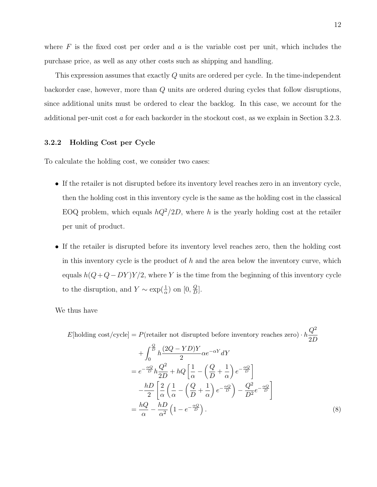where  $F$  is the fixed cost per order and  $a$  is the variable cost per unit, which includes the purchase price, as well as any other costs such as shipping and handling.

This expression assumes that exactly Q units are ordered per cycle. In the time-independent backorder case, however, more than Q units are ordered during cycles that follow disruptions, since additional units must be ordered to clear the backlog. In this case, we account for the additional per-unit cost a for each backorder in the stockout cost, as we explain in Section 3.2.3.

#### 3.2.2 Holding Cost per Cycle

To calculate the holding cost, we consider two cases:

- If the retailer is not disrupted before its inventory level reaches zero in an inventory cycle, then the holding cost in this inventory cycle is the same as the holding cost in the classical EOQ problem, which equals  $hQ^2/2D$ , where h is the yearly holding cost at the retailer per unit of product.
- If the retailer is disrupted before its inventory level reaches zero, then the holding cost in this inventory cycle is the product of  $h$  and the area below the inventory curve, which equals  $h(Q+Q-DY)Y/2$ , where Y is the time from the beginning of this inventory cycle to the disruption, and  $Y \sim \exp(\frac{1}{\alpha})$  on  $[0, \frac{Q}{D}]$  $\frac{Q}{D}$ .

We thus have

E[holding cost/cycle] = P(retailer not disrupted before inventory reaches zero)  $\cdot h \frac{Q^2}{2R}$ 2D  $+$  $\int \frac{Q}{D}$ 0  $h \frac{(2Q - YD)Y}{2}$  $\frac{1}{2} \frac{D}{I} \alpha e^{-\alpha Y} dY$  $= e^{-\frac{\alpha Q}{D}} h \frac{Q^2}{2D}$  $\frac{Q^2}{2D} + hQ\left[\frac{1}{\alpha}\right]$  $\frac{1}{\alpha}$  –  $\overline{Q}$  $\frac{Q}{D} + \frac{1}{\alpha}$ α  $\mathbf{r}$  $e^{-\frac{\alpha Q}{D}}$  $\overline{a}$  $-\frac{hD}{2}$ 2 ...<br>= 2 α  $(1)$  $\frac{1}{\alpha}$  –  $Q$  $\frac{Q}{D} + \frac{1}{\alpha}$ α  $\mathbf{r}$  $e^{-\frac{\alpha Q}{D}}$  $\mathbf{r}$  $-\frac{Q^2}{R^2}$  $\frac{Q^2}{D^2}e^{-\frac{\alpha Q}{D}}$ #  $=\frac{hQ}{h}$  $\frac{dQ}{\alpha} - \frac{hD}{\alpha^2}$  $\alpha^2$  $\overline{a}$  $1 - e^{-\frac{\alpha Q}{D}}$ ´ .  $\hspace{1.6cm} (8)$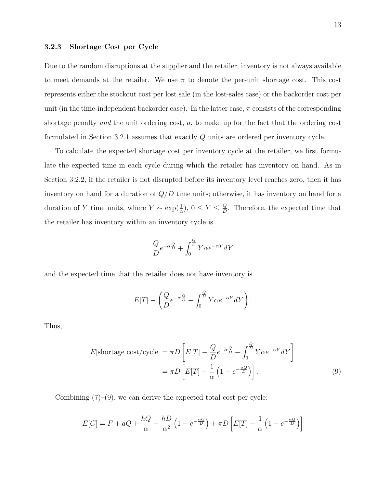#### 3.2.3 Shortage Cost per Cycle

Due to the random disruptions at the supplier and the retailer, inventory is not always available to meet demands at the retailer. We use  $\pi$  to denote the per-unit shortage cost. This cost represents either the stockout cost per lost sale (in the lost-sales case) or the backorder cost per unit (in the time-independent backorder case). In the latter case,  $\pi$  consists of the corresponding shortage penalty and the unit ordering cost,  $a$ , to make up for the fact that the ordering cost formulated in Section 3.2.1 assumes that exactly Q units are ordered per inventory cycle.

To calculate the expected shortage cost per inventory cycle at the retailer, we first formulate the expected time in each cycle during which the retailer has inventory on hand. As in Section 3.2.2, if the retailer is not disrupted before its inventory level reaches zero, then it has inventory on hand for a duration of  $Q/D$  time units; otherwise, it has inventory on hand for a duration of Y time units, where  $Y \sim \exp(\frac{1}{\alpha})$ ,  $0 \le Y \le \frac{Q}{D}$  $\frac{Q}{D}$ . Therefore, the expected time that the retailer has inventory within an inventory cycle is

$$
\frac{Q}{D}e^{-\alpha\frac{Q}{D}} + \int_0^{\frac{Q}{D}} Y\alpha e^{-\alpha Y}dY
$$

and the expected time that the retailer does not have inventory is

$$
E[T] - \left(\frac{Q}{D}e^{-\alpha \frac{Q}{D}} + \int_0^{\frac{Q}{D}} Y \alpha e^{-\alpha Y} dY\right).
$$

Thus,

$$
E[\text{shortage cost}/\text{cycle}] = \pi D \left[ E[T] - \frac{Q}{D} e^{-\alpha \frac{Q}{D}} - \int_0^{\frac{Q}{D}} Y \alpha e^{-\alpha Y} dY \right]
$$

$$
= \pi D \left[ E[T] - \frac{1}{\alpha} \left( 1 - e^{-\frac{\alpha Q}{D}} \right) \right]. \tag{9}
$$

Combining  $(7)-(9)$ , we can derive the expected total cost per cycle:

$$
E[C] = F + aQ + \frac{hQ}{\alpha} - \frac{hD}{\alpha^2} \left( 1 - e^{-\frac{\alpha Q}{D}} \right) + \pi D \left[ E[T] - \frac{1}{\alpha} \left( 1 - e^{-\frac{\alpha Q}{D}} \right) \right]
$$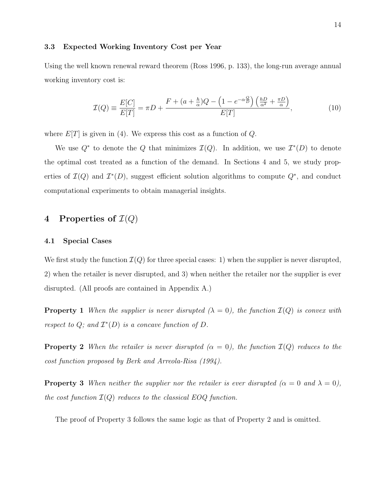#### 3.3 Expected Working Inventory Cost per Year

Using the well known renewal reward theorem (Ross 1996, p. 133), the long-run average annual working inventory cost is:

$$
\mathcal{I}(Q) \equiv \frac{E[C]}{E[T]} = \pi D + \frac{F + (a + \frac{h}{\alpha})Q - \left(1 - e^{-\alpha \frac{Q}{D}}\right)\left(\frac{hD}{\alpha^2} + \frac{\pi D}{\alpha}\right)}{E[T]},\tag{10}
$$

where  $E[T]$  is given in (4). We express this cost as a function of  $Q$ .

We use  $Q^*$  to denote the Q that minimizes  $\mathcal{I}(Q)$ . In addition, we use  $\mathcal{I}^*(D)$  to denote the optimal cost treated as a function of the demand. In Sections 4 and 5, we study properties of  $\mathcal{I}(Q)$  and  $\mathcal{I}^*(D)$ , suggest efficient solution algorithms to compute  $Q^*$ , and conduct computational experiments to obtain managerial insights.

## 4 Properties of  $\mathcal{I}(Q)$

#### 4.1 Special Cases

We first study the function  $\mathcal{I}(Q)$  for three special cases: 1) when the supplier is never disrupted, 2) when the retailer is never disrupted, and 3) when neither the retailer nor the supplier is ever disrupted. (All proofs are contained in Appendix A.)

**Property 1** When the supplier is never disrupted  $(\lambda = 0)$ , the function  $\mathcal{I}(Q)$  is convex with respect to  $Q$ ; and  $\mathcal{I}^*(D)$  is a concave function of  $D$ .

**Property 2** When the retailer is never disrupted  $(\alpha = 0)$ , the function  $\mathcal{I}(Q)$  reduces to the cost function proposed by Berk and Arreola-Risa (1994).

**Property 3** When neither the supplier nor the retailer is ever disrupted ( $\alpha = 0$  and  $\lambda = 0$ ), the cost function  $\mathcal{I}(Q)$  reduces to the classical EOQ function.

The proof of Property 3 follows the same logic as that of Property 2 and is omitted.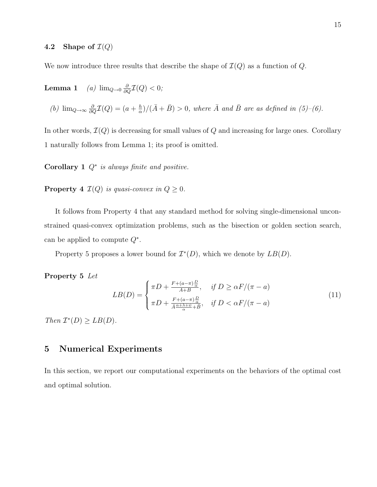#### 4.2 Shape of  $\mathcal{I}(Q)$

We now introduce three results that describe the shape of  $\mathcal{I}(Q)$  as a function of Q.

**Lemma 1** (a)  $\lim_{Q\to 0} \frac{\partial}{\partial Q} \mathcal{I}(Q) < 0;$ 

(b)  $\lim_{Q \to \infty} \frac{\partial}{\partial Q} \mathcal{I}(Q) = (a + \frac{h}{\alpha})$  $\frac{h}{\alpha}$ )/( $\bar{A} + \bar{B}$ ) > 0, where  $\bar{A}$  and  $\bar{B}$  are as defined in (5)-(6).

In other words,  $\mathcal{I}(Q)$  is decreasing for small values of  $Q$  and increasing for large ones. Corollary 1 naturally follows from Lemma 1; its proof is omitted.

Corollary  $1 \tQ^*$  is always finite and positive.

**Property 4**  $\mathcal{I}(Q)$  is quasi-convex in  $Q \geq 0$ .

It follows from Property 4 that any standard method for solving single-dimensional unconstrained quasi-convex optimization problems, such as the bisection or golden section search, can be applied to compute  $Q^*$ .

Property 5 proposes a lower bound for  $\mathcal{I}^*(D)$ , which we denote by  $LB(D)$ .

Property 5 Let

$$
LB(D) = \begin{cases} \pi D + \frac{F + (a - \pi)\frac{D}{\alpha}}{\overline{A} + \overline{B}}, & \text{if } D \ge \alpha F / (\pi - a) \\ \pi D + \frac{F + (a - \pi)\frac{D}{\alpha}}{\overline{A} \frac{\alpha + \lambda + \psi}{\alpha} + \overline{B}}, & \text{if } D < \alpha F / (\pi - a) \end{cases}
$$
(11)

Then  $\mathcal{I}^*(D) \geq LB(D)$ .

## 5 Numerical Experiments

In this section, we report our computational experiments on the behaviors of the optimal cost and optimal solution.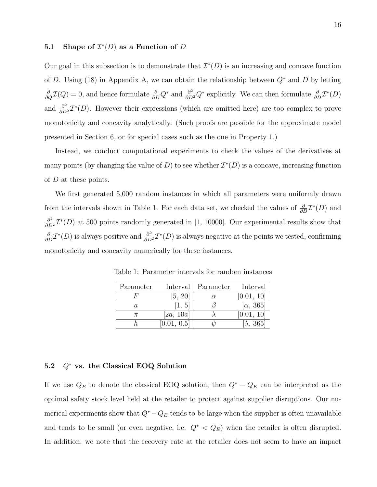## 5.1 Shape of  $\mathcal{I}^*(D)$  as a Function of D

Our goal in this subsection is to demonstrate that  $\mathcal{I}^*(D)$  is an increasing and concave function of D. Using (18) in Appendix A, we can obtain the relationship between  $Q^*$  and D by letting  $\frac{\partial}{\partial Q} \mathcal{I}(Q) = 0$ , and hence formulate  $\frac{\partial}{\partial D} Q^*$  and  $\frac{\partial^2}{\partial D^2} Q^*$  explicitly. We can then formulate  $\frac{\partial}{\partial D} \mathcal{I}^*(D)$ and  $\frac{\partial^2}{\partial D^2} \mathcal{I}^*(D)$ . However their expressions (which are omitted here) are too complex to prove monotonicity and concavity analytically. (Such proofs are possible for the approximate model presented in Section 6, or for special cases such as the one in Property 1.)

Instead, we conduct computational experiments to check the values of the derivatives at many points (by changing the value of D) to see whether  $\mathcal{I}^*(D)$  is a concave, increasing function of D at these points.

We first generated 5,000 random instances in which all parameters were uniformly drawn from the intervals shown in Table 1. For each data set, we checked the values of  $\frac{\partial}{\partial D} \mathcal{I}^*(D)$  and  $\frac{\partial^2}{\partial D^2} \mathcal{I}^*(D)$  at 500 points randomly generated in [1, 10000]. Our experimental results show that  $\frac{\partial}{\partial D}$  I<sup>\*</sup>(D) is always positive and  $\frac{\partial^2}{\partial D^2}$  I<sup>\*</sup>(D) is always negative at the points we tested, confirming monotonicity and concavity numerically for these instances.

| Parameter | Interval       | Parameter | Interval         |
|-----------|----------------|-----------|------------------|
|           | [5, 20]        | $\alpha$  | [0.01, 10]       |
|           | $\mathfrak{b}$ |           | $[\alpha, 365]$  |
|           | [2a, 10a]      |           | [0.01, 10]       |
|           | [0.01, 0.5]    |           | $\lambda$ , 365] |

Table 1: Parameter intervals for random instances

## 5.2  $Q^*$  vs. the Classical EOQ Solution

If we use  $Q_E$  to denote the classical EOQ solution, then  $Q^* - Q_E$  can be interpreted as the optimal safety stock level held at the retailer to protect against supplier disruptions. Our numerical experiments show that  $Q^* - Q_E$  tends to be large when the supplier is often unavailable and tends to be small (or even negative, i.e.  $Q^* < Q_E$ ) when the retailer is often disrupted. In addition, we note that the recovery rate at the retailer does not seem to have an impact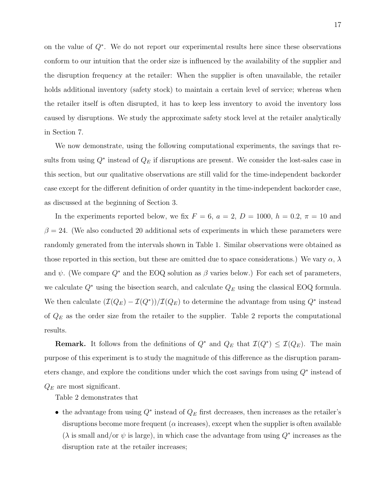on the value of Q<sup>∗</sup> . We do not report our experimental results here since these observations conform to our intuition that the order size is influenced by the availability of the supplier and the disruption frequency at the retailer: When the supplier is often unavailable, the retailer holds additional inventory (safety stock) to maintain a certain level of service; whereas when the retailer itself is often disrupted, it has to keep less inventory to avoid the inventory loss caused by disruptions. We study the approximate safety stock level at the retailer analytically in Section 7.

We now demonstrate, using the following computational experiments, the savings that results from using  $Q^*$  instead of  $Q_E$  if disruptions are present. We consider the lost-sales case in this section, but our qualitative observations are still valid for the time-independent backorder case except for the different definition of order quantity in the time-independent backorder case, as discussed at the beginning of Section 3.

In the experiments reported below, we fix  $F = 6$ ,  $a = 2$ ,  $D = 1000$ ,  $h = 0.2$ ,  $\pi = 10$  and  $\beta = 24$ . (We also conducted 20 additional sets of experiments in which these parameters were randomly generated from the intervals shown in Table 1. Similar observations were obtained as those reported in this section, but these are omitted due to space considerations.) We vary  $\alpha$ ,  $\lambda$ and  $\psi$ . (We compare  $Q^*$  and the EOQ solution as  $\beta$  varies below.) For each set of parameters, we calculate  $Q^*$  using the bisection search, and calculate  $Q_E$  using the classical EOQ formula. We then calculate  $(\mathcal{I}(Q_E) - \mathcal{I}(Q^*))/\mathcal{I}(Q_E)$  to determine the advantage from using  $Q^*$  instead of  $Q_E$  as the order size from the retailer to the supplier. Table 2 reports the computational results.

**Remark.** It follows from the definitions of  $Q^*$  and  $Q_E$  that  $\mathcal{I}(Q^*) \leq \mathcal{I}(Q_E)$ . The main purpose of this experiment is to study the magnitude of this difference as the disruption parameters change, and explore the conditions under which the cost savings from using  $Q^*$  instead of  $Q_E$  are most significant.

Table 2 demonstrates that

• the advantage from using  $Q^*$  instead of  $Q_E$  first decreases, then increases as the retailer's disruptions become more frequent ( $\alpha$  increases), except when the supplier is often available  $(\lambda \text{ is small and/or } \psi \text{ is large}),$  in which case the advantage from using  $Q^*$  increases as the disruption rate at the retailer increases;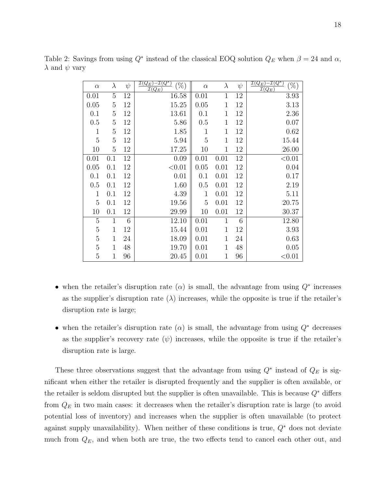| $\alpha$       | $\lambda$      | $\psi$ | $-\mathcal{I}(Q^*)$<br>$\mathcal{I}(Q_E)$<br>$(\%)$<br>$\mathcal{I}(Q_E)$ | $\alpha$       | $\lambda$ | $\psi$ | $-\mathcal{I}(Q^*)$<br>$\mathcal{I}(Q_E)$<br>$(\%)$<br>$\mathcal{I}(Q_E)$ |
|----------------|----------------|--------|---------------------------------------------------------------------------|----------------|-----------|--------|---------------------------------------------------------------------------|
| 0.01           | $\overline{5}$ | 12     | 16.58                                                                     | 0.01           | 1         | 12     | 3.93                                                                      |
| 0.05           | 5              | 12     | 15.25                                                                     | 0.05           | 1         | 12     | 3.13                                                                      |
| 0.1            | 5              | 12     | 13.61                                                                     | 0.1            | 1         | 12     | 2.36                                                                      |
| 0.5            | 5              | 12     | 5.86                                                                      | 0.5            | 1         | 12     | 0.07                                                                      |
| $\mathbf{1}$   | 5              | 12     | 1.85                                                                      | $\mathbf{1}$   | 1         | 12     | 0.62                                                                      |
| $\overline{5}$ | $\overline{5}$ | 12     | 5.94                                                                      | $\overline{5}$ | 1         | 12     | 15.44                                                                     |
| 10             | $\overline{5}$ | 12     | 17.25                                                                     | 10             | 1         | 12     | 26.00                                                                     |
| 0.01           | 0.1            | 12     | 0.09                                                                      | 0.01           | 0.01      | 12     | < 0.01                                                                    |
| 0.05           | 0.1            | 12     | < 0.01                                                                    | 0.05           | 0.01      | 12     | 0.04                                                                      |
| 0.1            | 0.1            | 12     | 0.01                                                                      | 0.1            | 0.01      | 12     | 0.17                                                                      |
| 0.5            | 0.1            | 12     | 1.60                                                                      | 0.5            | 0.01      | 12     | 2.19                                                                      |
| $\mathbf{1}$   | 0.1            | 12     | 4.39                                                                      | $\mathbf{1}$   | 0.01      | 12     | 5.11                                                                      |
| $\overline{5}$ | 0.1            | 12     | 19.56                                                                     | $\overline{5}$ | 0.01      | 12     | 20.75                                                                     |
| 10             | 0.1            | 12     | 29.99                                                                     | 10             | 0.01      | 12     | 30.37                                                                     |
| 5              | $\mathbf 1$    | 6      | 12.10                                                                     | 0.01           | 1         | 6      | 12.80                                                                     |
| 5              | 1              | 12     | 15.44                                                                     | 0.01           | 1         | 12     | 3.93                                                                      |
| $\overline{5}$ | 1              | 24     | 18.09                                                                     | 0.01           | 1         | 24     | 0.63                                                                      |
| 5              | 1              | 48     | 19.70                                                                     | 0.01           | 1         | 48     | 0.05                                                                      |
| $\overline{5}$ | 1              | 96     | 20.45                                                                     | 0.01           | 1         | 96     | < 0.01                                                                    |

Table 2: Savings from using  $Q^*$  instead of the classical EOQ solution  $Q_E$  when  $\beta = 24$  and  $\alpha$ ,  $\lambda$  and  $\psi$  vary

- when the retailer's disruption rate  $(\alpha)$  is small, the advantage from using  $Q^*$  increases as the supplier's disruption rate  $(\lambda)$  increases, while the opposite is true if the retailer's disruption rate is large;
- when the retailer's disruption rate  $(\alpha)$  is small, the advantage from using  $Q^*$  decreases as the supplier's recovery rate  $(\psi)$  increases, while the opposite is true if the retailer's disruption rate is large.

These three observations suggest that the advantage from using  $Q^*$  instead of  $Q_E$  is significant when either the retailer is disrupted frequently and the supplier is often available, or the retailer is seldom disrupted but the supplier is often unavailable. This is because  $Q^*$  differs from  $Q_E$  in two main cases: it decreases when the retailer's disruption rate is large (to avoid potential loss of inventory) and increases when the supplier is often unavailable (to protect against supply unavailability). When neither of these conditions is true,  $Q^*$  does not deviate much from  $Q_E$ , and when both are true, the two effects tend to cancel each other out, and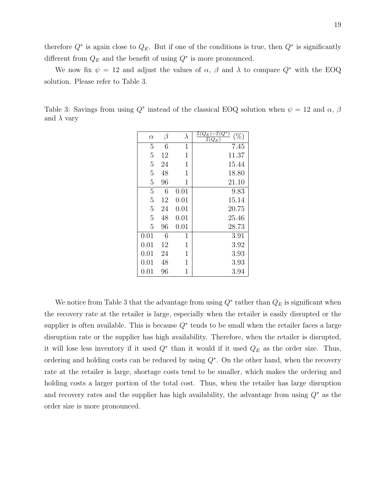therefore  $Q^*$  is again close to  $Q_E$ . But if one of the conditions is true, then  $Q^*$  is significantly different from  $Q_E$  and the benefit of using  $Q^*$  is more pronounced.

We now fix  $\psi = 12$  and adjust the values of  $\alpha$ ,  $\beta$  and  $\lambda$  to compare  $Q^*$  with the EOQ solution. Please refer to Table 3.

Table 3: Savings from using  $Q^*$  instead of the classical EOQ solution when  $\psi = 12$  and  $\alpha$ ,  $\beta$ and  $\lambda$  vary

| $\alpha$ | β  | $\lambda$    | $\mathcal{I}(Q_E$<br>$(\%)$<br>( $Q_E$ |
|----------|----|--------------|----------------------------------------|
| 5        | 6  | $\mathbf{1}$ | 7.45                                   |
| 5        | 12 | $\mathbf{1}$ | 11.37                                  |
| 5        | 24 | 1            | 15.44                                  |
| 5        | 48 | 1            | 18.80                                  |
| 5        | 96 | 1            | 21.10                                  |
| 5        | 6  | 0.01         | 9.83                                   |
| 5        | 12 | 0.01         | 15.14                                  |
| 5        | 24 | 0.01         | 20.75                                  |
| 5        | 48 | 0.01         | 25.46                                  |
| 5        | 96 | 0.01         | 28.73                                  |
| 0.01     | 6  | 1            | 3.91                                   |
| 0.01     | 12 | 1            | 3.92                                   |
| 0.01     | 24 | 1            | 3.93                                   |
| 0.01     | 48 | 1            | 3.93                                   |
| 0.01     | 96 | 1            | 3.94                                   |

We notice from Table 3 that the advantage from using  $Q^*$  rather than  $Q_E$  is significant when the recovery rate at the retailer is large, especially when the retailer is easily disrupted or the supplier is often available. This is because  $Q^*$  tends to be small when the retailer faces a large disruption rate or the supplier has high availability. Therefore, when the retailer is disrupted, it will lose less inventory if it used  $Q^*$  than it would if it used  $Q_E$  as the order size. Thus, ordering and holding costs can be reduced by using  $Q^*$ . On the other hand, when the recovery rate at the retailer is large, shortage costs tend to be smaller, which makes the ordering and holding costs a larger portion of the total cost. Thus, when the retailer has large disruption and recovery rates and the supplier has high availability, the advantage from using  $Q^*$  as the order size is more pronounced.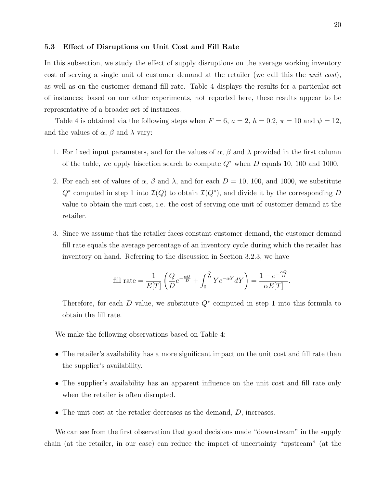#### 5.3 Effect of Disruptions on Unit Cost and Fill Rate

In this subsection, we study the effect of supply disruptions on the average working inventory cost of serving a single unit of customer demand at the retailer (we call this the *unit cost*), as well as on the customer demand fill rate. Table 4 displays the results for a particular set of instances; based on our other experiments, not reported here, these results appear to be representative of a broader set of instances.

Table 4 is obtained via the following steps when  $F = 6$ ,  $a = 2$ ,  $h = 0.2$ ,  $\pi = 10$  and  $\psi = 12$ , and the values of  $\alpha$ ,  $\beta$  and  $\lambda$  vary:

- 1. For fixed input parameters, and for the values of  $\alpha$ ,  $\beta$  and  $\lambda$  provided in the first column of the table, we apply bisection search to compute  $Q^*$  when D equals 10, 100 and 1000.
- 2. For each set of values of  $\alpha$ ,  $\beta$  and  $\lambda$ , and for each  $D = 10$ , 100, and 1000, we substitute  $Q^*$  computed in step 1 into  $\mathcal{I}(Q)$  to obtain  $\mathcal{I}(Q^*)$ , and divide it by the corresponding D value to obtain the unit cost, i.e. the cost of serving one unit of customer demand at the retailer.
- 3. Since we assume that the retailer faces constant customer demand, the customer demand fill rate equals the average percentage of an inventory cycle during which the retailer has inventory on hand. Referring to the discussion in Section 3.2.3, we have

fill rate = 
$$
\frac{1}{E[T]} \left( \frac{Q}{D} e^{-\frac{\alpha Q}{D}} + \int_0^{\frac{Q}{D}} Y e^{-\alpha Y} dY \right) = \frac{1 - e^{-\frac{\alpha Q}{D}}}{\alpha E[T]}
$$

.

Therefore, for each D value, we substitute  $Q^*$  computed in step 1 into this formula to obtain the fill rate.

We make the following observations based on Table 4:

- The retailer's availability has a more significant impact on the unit cost and fill rate than the supplier's availability.
- The supplier's availability has an apparent influence on the unit cost and fill rate only when the retailer is often disrupted.
- The unit cost at the retailer decreases as the demand,  $D$ , increases.

We can see from the first observation that good decisions made "downstream" in the supply chain (at the retailer, in our case) can reduce the impact of uncertainty "upstream" (at the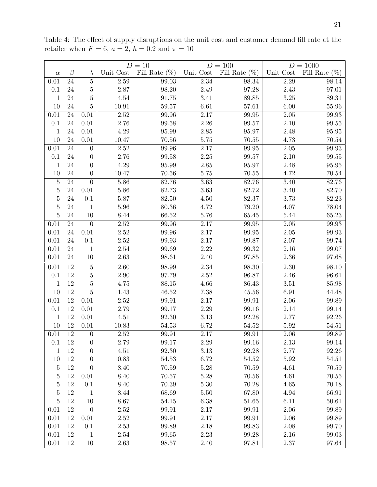|                |         |                  | $D=10$    |                      | $D = 100$ |                      | $D = 1000$ |                      |
|----------------|---------|------------------|-----------|----------------------|-----------|----------------------|------------|----------------------|
| $\alpha$       | $\beta$ | $\lambda$        | Unit Cost | Fill Rate $(\%)$     | Unit Cost | Fill Rate $(\%)$     | Unit Cost  | Fill Rate $(\%)$     |
| 0.01           | 24      | $\bf 5$          | 2.59      | 99.03                | 2.34      | 98.34                | 2.29       | 98.14                |
| 0.1            | $24\,$  | $\bf 5$          | 2.87      | $98.20\,$            | 2.49      | 97.28                | 2.43       | 97.01                |
| $\mathbf{1}$   | 24      | $\overline{5}$   | $4.54\,$  | 91.75                | 3.41      | 89.85                | $3.25\,$   | 89.31                |
| $10\,$         | $24\,$  | $\overline{5}$   | 10.91     | 59.57                | 6.61      | 57.61                | $6.00\,$   | 55.96                |
| 0.01           | 24      | $0.01\,$         | 2.52      | 99.96                | 2.17      | 99.95                | $2.05\,$   | 99.93                |
| 0.1            | 24      | 0.01             | 2.76      | 99.58                | $2.26\,$  | 99.57                | 2.10       | $\boldsymbol{99.55}$ |
| $\mathbf{1}$   | $24\,$  | $0.01\,$         | 4.29      | 95.99                | $2.85\,$  | 95.97                | 2.48       | $\boldsymbol{95.95}$ |
| 10             | 24      | 0.01             | 10.47     | $70.56\,$            | 5.75      | 70.55                | 4.73       | 70.54                |
| 0.01           | 24      | $\boldsymbol{0}$ | 2.52      | 99.96                | 2.17      | 99.95                | $2.05\,$   | 99.93                |
| 0.1            | $24\,$  | $\boldsymbol{0}$ | 2.76      | 99.58                | $2.25\,$  | 99.57                | 2.10       | $\boldsymbol{99.55}$ |
| $\mathbf{1}$   | $24\,$  | $\boldsymbol{0}$ | 4.29      | 95.99                | $2.85\,$  | 95.97                | 2.48       | $\boldsymbol{95.95}$ |
| 10             | 24      | $\boldsymbol{0}$ | 10.47     | $70.56\,$            | 5.75      | 70.55                | 4.72       | 70.54                |
| $\overline{5}$ | 24      | $\boldsymbol{0}$ | 5.86      | 82.76                | 3.63      | 82.76                | 3.40       | 82.76                |
| $\overline{5}$ | 24      | $0.01\,$         | 5.86      | 82.73                | 3.63      | 82.72                | $3.40\,$   | 82.70                |
| 5              | $24\,$  | $0.1\,$          | 5.87      | 82.50                | 4.50      | 82.37                | 3.73       | 82.23                |
| $\overline{5}$ | $24\,$  | $1\,$            | 5.96      | 80.36                | 4.72      | 79.20                | 4.07       | 78.04                |
| $\overline{5}$ | $24\,$  | $10\,$           | 8.44      | 66.52                | 5.76      | 65.45                | 5.44       | 65.23                |
| $0.01\,$       | $24\,$  | $\boldsymbol{0}$ | $2.52\,$  | 99.96                | 2.17      | 99.95                | 2.05       | 99.93                |
| $0.01\,$       | $24\,$  | 0.01             | $2.52\,$  | 99.96                | 2.17      | $\boldsymbol{99.95}$ | $2.05\,$   | 99.93                |
| $0.01\,$       | 24      | 0.1              | $2.52\,$  | $\boldsymbol{99.93}$ | 2.17      | 99.87                | $2.07\,$   | 99.74                |
| $0.01\,$       | 24      | $1\,$            | $2.54\,$  | 99.69                | 2.22      | $\boldsymbol{99.32}$ | 2.16       | 99.07                |
| 0.01           | $24\,$  | $10\,$           | 2.63      | 98.61                | 2.40      | 97.85                | 2.36       | 97.68                |
| 0.01           | 12      | $\bf 5$          | 2.60      | 98.99                | 2.34      | 98.30                | 2.30       | 98.10                |
| $0.1\,$        | 12      | $\mathbf 5$      | 2.90      | 97.79                | $2.52\,$  | 96.87                | $2.46\,$   | 96.61                |
| $\mathbf{1}$   | 12      | $\overline{5}$   | 4.75      | 88.15                | 4.66      | 86.43                | 3.51       | 85.98                |
| 10             | 12      | $\bf 5$          | 11.43     | 46.52                | 7.38      | 45.56                | 6.91       | 44.48                |
| $0.01\,$       | 12      | $0.01\,$         | 2.52      | $\overline{99.91}$   | 2.17      | 99.91                | $2.06\,$   | 99.89                |
| 0.1            | 12      | 0.01             | 2.79      | 99.17                | $2.29\,$  | 99.16                | 2.14       | 99.14                |
| $\mathbf{1}$   | 12      | 0.01             | 4.51      | 92.30                | 3.13      | 92.28                | 2.77       | 92.26                |
| 10             | 12      | $0.01\,$         | 10.83     | 54.53                | 6.72      | $54.52\,$            | 5.92       | $54.51\,$            |
| $0.01\,$       | 12      | $\boldsymbol{0}$ | $2.52\,$  | $\boldsymbol{99.91}$ | $2.17\,$  | 99.91                | $2.06\,$   | 99.89                |
| 0.1            | 12      | $\boldsymbol{0}$ | 2.79      | 99.17                | $2.29\,$  | 99.16                | 2.13       | 99.14                |
| $\mathbf{1}$   | 12      | $\boldsymbol{0}$ | 4.51      | 92.30                | 3.13      | 92.28                | 2.77       | 92.26                |
| 10             | 12      | $\overline{0}$   | 10.83     | 54.53                | 6.72      | 54.52                | $5.92\,$   | 54.51                |
| $\overline{5}$ | 12      | $\boldsymbol{0}$ | 8.40      | 70.59                | 5.28      | 70.59                | 4.61       | 70.59                |
| 5              | 12      | 0.01             | 8.40      | 70.57                | 5.28      | 70.56                | 4.61       | $70.55\,$            |
| 5              | 12      | 0.1              | 8.40      | 70.39                | 5.30      | 70.28                | 4.65       | 70.18                |
| $\overline{5}$ | 12      | $\mathbf{1}$     | 8.44      | 68.69                | 5.50      | 67.80                | 4.94       | 66.91                |
| $\overline{5}$ | 12      | 10               | 8.67      | 54.15                | 6.38      | 51.65                | 6.11       | $50.61\,$            |
| 0.01           | 12      | $\overline{0}$   | $2.52\,$  | 99.91                | 2.17      | 99.91                | 2.06       | 99.89                |
| 0.01           | 12      | 0.01             | $2.52\,$  | 99.91                | 2.17      | 99.91                | $2.06\,$   | 99.89                |
| $0.01\,$       | 12      | 0.1              | 2.53      | 99.89                | 2.18      | 99.83                | $2.08\,$   | 99.70                |
| $0.01\,$       | 12      | $\mathbf{1}$     | $2.54\,$  | 99.65                | 2.23      | 99.28                | 2.16       | $99.03\,$            |
| $0.01\,$       | 12      | $10\,$           | 2.63      | 98.57                | 2.40      | 97.81                | $2.37\,$   | 97.64                |

Table 4: The effect of supply disruptions on the unit cost and customer demand fill rate at the retailer when  $F = 6$ ,  $a = 2$ ,  $h = 0.2$  and  $\pi = 10$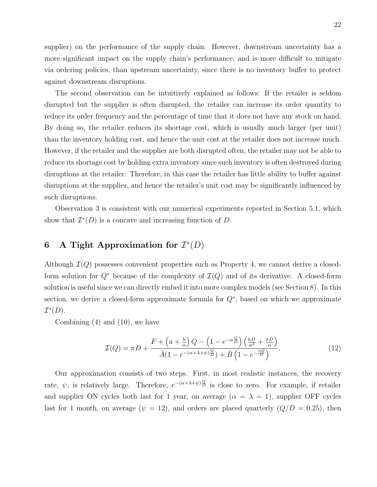supplier) on the performance of the supply chain. However, downstream uncertainty has a more significant impact on the supply chain's performance, and is more difficult to mitigate via ordering policies, than upstream uncertainty, since there is no inventory buffer to protect against downstream disruptions.

The second observation can be intuitively explained as follows: If the retailer is seldom disrupted but the supplier is often disrupted, the retailer can increase its order quantity to reduce its order frequency and the percentage of time that it does not have any stock on hand. By doing so, the retailer reduces its shortage cost, which is usually much larger (per unit) than the inventory holding cost, and hence the unit cost at the retailer does not increase much. However, if the retailer and the supplier are both disrupted often, the retailer may not be able to reduce its shortage cost by holding extra inventory since such inventory is often destroyed during disruptions at the retailer. Therefore, in this case the retailer has little ability to buffer against disruptions at the supplier, and hence the retailer's unit cost may be significantly influenced by such disruptions.

Observation 3 is consistent with our numerical experiments reported in Section 5.1, which show that  $\mathcal{I}^*(D)$  is a concave and increasing function of D.

## 6 A Tight Approximation for  $\mathcal{I}^*(D)$

Although  $\mathcal{I}(Q)$  possesses convenient properties such as Property 4, we cannot derive a closedform solution for  $Q^*$  because of the complexity of  $\mathcal{I}(Q)$  and of its derivative. A closed-form solution is useful since we can directly embed it into more complex models (see Section 8). In this section, we derive a closed-form approximate formula for  $Q^*$ , based on which we approximate  $\mathcal{I}^*(D)$ .

Combining (4) and (10), we have

$$
\mathcal{I}(Q) = \pi D + \frac{F + \left(a + \frac{h}{\alpha}\right)Q - \left(1 - e^{-\alpha \frac{Q}{D}}\right)\left(\frac{hD}{\alpha^2} + \frac{\pi D}{\alpha}\right)}{\bar{A}\left(1 - e^{-(\alpha + \lambda + \psi)\frac{Q}{D}}\right) + \bar{B}\left(1 - e^{-\frac{\alpha Q}{D}}\right)}.
$$
\n(12)

Our approximation consists of two steps. First, in most realistic instances, the recovery rate,  $\psi$ , is relatively large. Therefore,  $e^{-(\alpha+\lambda+\psi)\frac{Q}{D}}$  is close to zero. For example, if retailer and supplier ON cycles both last for 1 year, on average  $(\alpha = \lambda = 1)$ , supplier OFF cycles last for 1 month, on average ( $\psi = 12$ ), and orders are placed quarterly ( $Q/D = 0.25$ ), then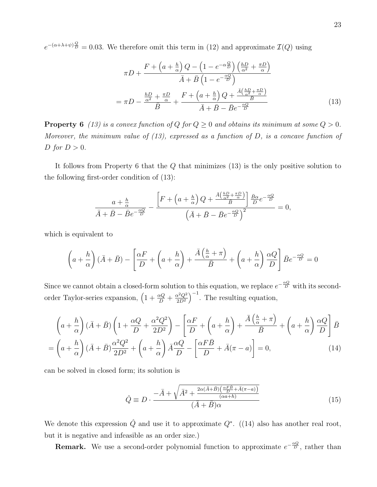$e^{-(\alpha+\lambda+\psi)\frac{Q}{D}}=0.03$ . We therefore omit this term in (12) and approximate  $\mathcal{I}(Q)$  using

$$
\pi D + \frac{F + \left(a + \frac{h}{\alpha}\right)Q - \left(1 - e^{-\alpha \frac{Q}{D}}\right)\left(\frac{hD}{\alpha^2} + \frac{\pi D}{\alpha}\right)}{\bar{A} + \bar{B}\left(1 - e^{-\frac{\alpha Q}{D}}\right)}
$$

$$
= \pi D - \frac{\frac{hD}{\alpha^2} + \frac{\pi D}{\alpha}}{\bar{B}} + \frac{F + \left(a + \frac{h}{\alpha}\right)Q + \frac{\bar{A}\left(\frac{hD}{\alpha^2} + \frac{\pi D}{\alpha}\right)}{\bar{B}}}{\bar{A} + \bar{B} - \bar{B}e^{-\frac{\alpha Q}{D}}}
$$
(13)

**Property 6** (13) is a convex function of Q for  $Q \ge 0$  and obtains its minimum at some  $Q > 0$ . Moreover, the minimum value of  $(13)$ , expressed as a function of D, is a concave function of D for  $D > 0$ .

It follows from Property 6 that the Q that minimizes (13) is the only positive solution to the following first-order condition of (13):

$$
\frac{a+\frac{h}{\alpha}}{\bar{A}+\bar{B}-\bar{B}e^{-\frac{\alpha Q}{D}}}-\frac{\left[F+\left(a+\frac{h}{\alpha}\right)Q+\frac{\bar{A}\left(\frac{hD}{\alpha^2}+\frac{\pi D}{\alpha}\right)}{\bar{B}}\right]\frac{\bar{B}\alpha}{D}e^{-\frac{\alpha Q}{D}}}{\left(\bar{A}+\bar{B}-\bar{B}e^{-\frac{\alpha Q}{D}}\right)^2}=0,
$$

which is equivalent to

$$
\left(a + \frac{h}{\alpha}\right)(\bar{A} + \bar{B}) - \left[\frac{\alpha F}{D} + \left(a + \frac{h}{\alpha}\right) + \frac{\bar{A}\left(\frac{h}{\alpha} + \pi\right)}{\bar{B}} + \left(a + \frac{h}{\alpha}\right)\frac{\alpha Q}{D}\right]\bar{B}e^{-\frac{\alpha Q}{D}} = 0
$$

Since we cannot obtain a closed-form solution to this equation, we replace  $e^{-\frac{\alpha Q}{D}}$  with its secondorder Taylor-series expansion,  $\left(1 + \frac{\alpha Q}{D} + \frac{\alpha^2 Q^2}{2D^2}\right)$  $\overline{2D^2}$  $\frac{1}{\sqrt{-1}}$ . The resulting equation,

$$
\left(a + \frac{h}{\alpha}\right)\left(\bar{A} + \bar{B}\right)\left(1 + \frac{\alpha Q}{D} + \frac{\alpha^2 Q^2}{2D^2}\right) - \left[\frac{\alpha F}{D} + \left(a + \frac{h}{\alpha}\right) + \frac{\bar{A}\left(\frac{h}{\alpha} + \pi\right)}{\bar{B}} + \left(a + \frac{h}{\alpha}\right)\frac{\alpha Q}{D}\right]\bar{B}
$$
\n
$$
= \left(a + \frac{h}{\alpha}\right)\left(\bar{A} + \bar{B}\right)\frac{\alpha^2 Q^2}{2D^2} + \left(a + \frac{h}{\alpha}\right)\bar{A}\frac{\alpha Q}{D} - \left[\frac{\alpha F\bar{B}}{D} + \bar{A}(\pi - a)\right] = 0,\tag{14}
$$

can be solved in closed form; its solution is

$$
\hat{Q} \equiv D \cdot \frac{-\bar{A} + \sqrt{\bar{A}^2 + \frac{2\alpha(\bar{A} + \bar{B})(\frac{\alpha F \bar{B}}{D} + \bar{A}(\pi - a))}{(\alpha a + h)}}}{(\bar{A} + \bar{B})\alpha} \tag{15}
$$

We denote this expression  $\hat{Q}$  and use it to approximate  $Q^*$ . ((14) also has another real root, but it is negative and infeasible as an order size.)

**Remark.** We use a second-order polynomial function to approximate  $e^{-\frac{\alpha Q}{D}}$ , rather than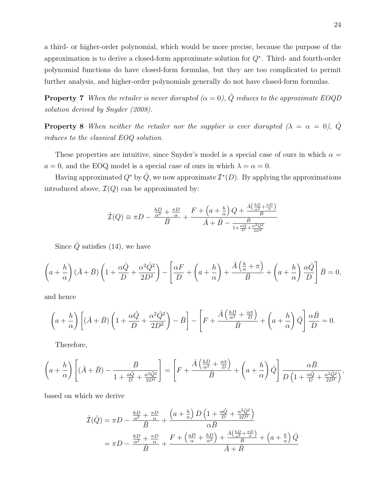a third- or higher-order polynomial, which would be more precise, because the purpose of the approximation is to derive a closed-form approximate solution for  $Q^*$ . Third- and fourth-order polynomial functions do have closed-form formulas, but they are too complicated to permit further analysis, and higher-order polynomials generally do not have closed-form formulas.

**Property 7** When the retailer is never disrupted  $(\alpha = 0)$ ,  $\hat{Q}$  reduces to the approximate EOQD solution derived by Snyder (2008).

**Property 8** When neither the retailer nor the supplier is ever disrupted  $(\lambda = \alpha = 0), \hat{Q}$ reduces to the classical EOQ solution.

These properties are intuitive, since Snyder's model is a special case of ours in which  $\alpha =$  $a = 0$ , and the EOQ model is a special case of ours in which  $\lambda = \alpha = 0$ .

Having approximated  $Q^*$  by  $\hat{Q}$ , we now approximate  $\mathcal{I}^*(D)$ . By applying the approximations introduced above,  $\mathcal{I}(Q)$  can be approximated by:

$$
\hat{\mathcal{I}}(Q) \equiv \pi D - \frac{\frac{hD}{\alpha^2} + \frac{\pi D}{\alpha}}{\bar{B}} + \frac{F + \left(a + \frac{h}{\alpha}\right)Q + \frac{\bar{A}\left(\frac{hD}{\alpha^2} + \frac{\pi D}{\alpha}\right)}{\bar{B}}}{\bar{A} + \bar{B} - \frac{\bar{B}}{1 + \frac{\alpha Q}{D} + \frac{\alpha^2 Q^2}{2D^2}}}
$$

Since  $\hat{Q}$  satisfies (14), we have

$$
\left(a+\frac{h}{\alpha}\right)(\bar{A}+\bar{B})\left(1+\frac{\alpha\hat{Q}}{D}+\frac{\alpha^2\hat{Q}^2}{2D^2}\right)-\left[\frac{\alpha F}{D}+\left(a+\frac{h}{\alpha}\right)+\frac{\bar{A}\left(\frac{h}{\alpha}+\pi\right)}{\bar{B}}+\left(a+\frac{h}{\alpha}\right)\frac{\alpha\hat{Q}}{D}\right]\bar{B}=0,
$$

and hence

$$
\left(a+\frac{h}{\alpha}\right)\left[\left(\bar{A}+\bar{B}\right)\left(1+\frac{\alpha\hat{Q}}{D}+\frac{\alpha^2\hat{Q}^2}{2D^2}\right)-\bar{B}\right]-\left[F+\frac{\bar{A}\left(\frac{hD}{\alpha^2}+\frac{\alpha\pi}{D}\right)}{\bar{B}}+\left(a+\frac{h}{\alpha}\right)\hat{Q}\right]\frac{\alpha\bar{B}}{D}=0.
$$

Therefore,

$$
\left(a+\frac{h}{\alpha}\right)\left[(\bar{A}+\bar{B})-\frac{\bar{B}}{1+\frac{\alpha\hat{Q}}{D}+\frac{\alpha^2\hat{Q}^2}{2D^2}}\right]=\left[F+\frac{\bar{A}\left(\frac{hD}{\alpha^2}+\frac{\alpha\pi}{D}\right)}{\bar{B}}+\left(a+\frac{h}{\alpha}\right)\hat{Q}\right]\frac{\alpha\bar{B}}{D\left(1+\frac{\alpha\hat{Q}}{D}+\frac{\alpha^2\hat{Q}^2}{2D^2}\right)},
$$

based on which we derive

$$
\hat{\mathcal{I}}(\hat{Q}) = \pi D - \frac{\frac{hD}{\alpha^2} + \frac{\pi D}{\alpha}}{\bar{B}} + \frac{\left(a + \frac{h}{\alpha}\right)D\left(1 + \frac{\alpha \hat{Q}}{D} + \frac{\alpha^2 \hat{Q}^2}{2D^2}\right)}{\alpha \bar{B}}
$$
\n
$$
= \pi D - \frac{\frac{hD}{\alpha^2} + \frac{\pi D}{\alpha}}{\bar{B}} + \frac{F + \left(\frac{aD}{\alpha} + \frac{hD}{\alpha^2}\right) + \frac{\bar{A}\left(\frac{hD}{\alpha^2} + \frac{\pi D}{\alpha}\right)}{\bar{B}} + \left(a + \frac{h}{\alpha}\right)\hat{Q}}
$$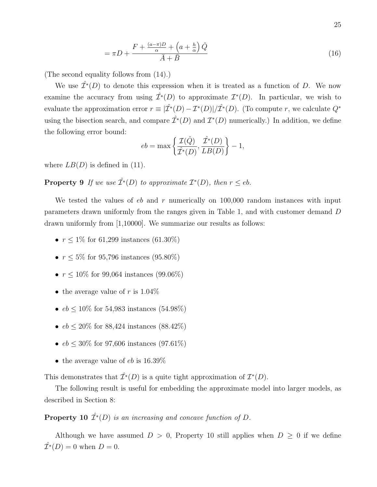$$
= \pi D + \frac{F + \frac{(a - \pi)D}{\alpha} + \left(a + \frac{h}{\alpha}\right)\hat{Q}}{\bar{A} + \bar{B}}
$$
(16)

(The second equality follows from (14).)

We use  $\hat{\mathcal{I}}^*(D)$  to denote this expression when it is treated as a function of D. We now examine the accuracy from using  $\hat{\mathcal{I}}^{*}(D)$  to approximate  $\mathcal{I}^{*}(D)$ . In particular, we wish to evaluate the approximation error  $r \equiv |\hat{\mathcal{I}}^*(D) - \mathcal{I}^*(D)|/\hat{\mathcal{I}}^*(D)$ . (To compute r, we calculate  $Q^*$ using the bisection search, and compare  $\hat{\mathcal{I}}^*(D)$  and  $\mathcal{I}^*(D)$  numerically.) In addition, we define the following error bound:  $\mathbf{r}$ 

$$
eb=\max\left\{\frac{\mathcal{I}(\hat{Q})}{\hat{\mathcal{I}^*}(D)},\frac{\hat{\mathcal{I}^*}(D)}{LB(D)}\right\}-1,
$$

where  $LB(D)$  is defined in (11).

**Property 9** If we use  $\hat{\mathcal{I}}^*(D)$  to approximate  $\mathcal{I}^*(D)$ , then  $r \leq eb$ .

We tested the values of  $eb$  and r numerically on 100,000 random instances with input parameters drawn uniformly from the ranges given in Table 1, and with customer demand D drawn uniformly from [1,10000]. We summarize our results as follows:

- $r \le 1\%$  for 61,299 instances (61.30%)
- $r \leq 5\%$  for 95,796 instances (95.80%)
- $r \le 10\%$  for 99,064 instances (99.06%)
- the average value of r is  $1.04\%$
- $eb \le 10\%$  for 54,983 instances (54.98%)
- $eb \le 20\%$  for 88,424 instances (88.42%)
- $eb \leq 30\%$  for 97,606 instances (97.61%)
- the average value of  $eb$  is  $16.39\%$

This demonstrates that  $\hat{\mathcal{I}}^*(D)$  is a quite tight approximation of  $\mathcal{I}^*(D)$ .

The following result is useful for embedding the approximate model into larger models, as described in Section 8:

**Property 10**  $\hat{\mathcal{I}}^*(D)$  is an increasing and concave function of D.

Although we have assumed  $D > 0$ , Property 10 still applies when  $D \geq 0$  if we define  $\hat{\mathcal{I}}^*(D) = 0$  when  $D = 0$ .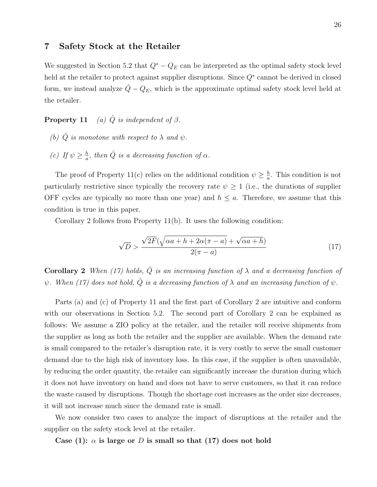#### 7 Safety Stock at the Retailer

We suggested in Section 5.2 that  $Q^* - Q_E$  can be interpreted as the optimal safety stock level held at the retailer to protect against supplier disruptions. Since  $Q^*$  cannot be derived in closed form, we instead analyze  $\hat{Q} - Q_E$ , which is the approximate optimal safety stock level held at the retailer.

**Property 11** (a)  $\hat{Q}$  is independent of  $\beta$ .

- (b)  $\hat{Q}$  is monotone with respect to  $\lambda$  and  $\psi$ .
- (c) If  $\psi \geq \frac{h}{a}$  $\frac{h}{a}$ , then  $\hat{Q}$  is a decreasing function of  $\alpha$ .

The proof of Property 11(c) relies on the additional condition  $\psi \geq \frac{h}{a}$  $\frac{h}{a}$ . This condition is not particularly restrictive since typically the recovery rate  $\psi \geq 1$  (i.e., the durations of supplier OFF cycles are typically no more than one year) and  $h \leq a$ . Therefore, we assume that this condition is true in this paper.

Corollary 2 follows from Property 11(b). It uses the following condition:

$$
\sqrt{D} > \frac{\sqrt{2F}(\sqrt{\alpha a + h + 2\alpha(\pi - a)} + \sqrt{\alpha a + h})}{2(\pi - a)}
$$
(17)

**Corollary 2** When (17) holds,  $\hat{Q}$  is an increasing function of  $\lambda$  and a decreasing function of  $\psi$ . When (17) does not hold,  $\hat{Q}$  is a decreasing function of  $\lambda$  and an increasing function of  $\psi$ .

Parts (a) and (c) of Property 11 and the first part of Corollary 2 are intuitive and conform with our observations in Section 5.2. The second part of Corollary 2 can be explained as follows: We assume a ZIO policy at the retailer, and the retailer will receive shipments from the supplier as long as both the retailer and the supplier are available. When the demand rate is small compared to the retailer's disruption rate, it is very costly to serve the small customer demand due to the high risk of inventory loss. In this case, if the supplier is often unavailable, by reducing the order quantity, the retailer can significantly increase the duration during which it does not have inventory on hand and does not have to serve customers, so that it can reduce the waste caused by disruptions. Though the shortage cost increases as the order size decreases, it will not increase much since the demand rate is small.

We now consider two cases to analyze the impact of disruptions at the retailer and the supplier on the safety stock level at the retailer.

Case (1):  $\alpha$  is large or D is small so that (17) does not hold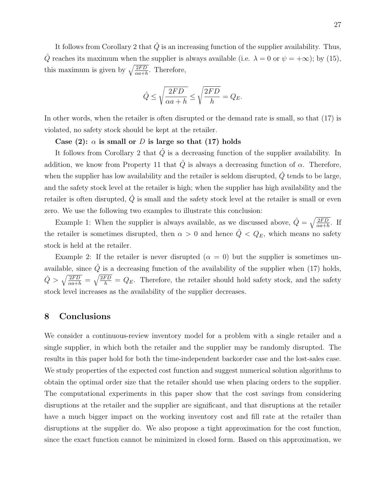It follows from Corollary 2 that  $\hat{Q}$  is an increasing function of the supplier availability. Thus,  $\hat{Q}$  reaches its maximum when the supplier is always available (i.e.  $\lambda = 0$  or  $\psi = +\infty$ ); by (15), this maximum is given by  $\sqrt{\frac{2FD}{\alpha a+h}}$ . Therefore,

$$
\hat{Q} \le \sqrt{\frac{2FD}{\alpha a + h}} \le \sqrt{\frac{2FD}{h}} = Q_E.
$$

In other words, when the retailer is often disrupted or the demand rate is small, so that (17) is violated, no safety stock should be kept at the retailer.

### Case (2):  $\alpha$  is small or D is large so that (17) holds

It follows from Corollary 2 that  $\hat{Q}$  is a decreasing function of the supplier availability. In addition, we know from Property 11 that  $\hat{Q}$  is always a decreasing function of  $\alpha$ . Therefore, when the supplier has low availability and the retailer is seldom disrupted,  $\hat{Q}$  tends to be large. and the safety stock level at the retailer is high; when the supplier has high availability and the retailer is often disrupted,  $\hat{Q}$  is small and the safety stock level at the retailer is small or even zero. We use the following two examples to illustrate this conclusion:

Example 1: When the supplier is always available, as we discussed above,  $\hat{Q} = \sqrt{\frac{2FD}{\alpha a + b}}$  $\frac{2FD}{\alpha a+h}$ . If the retailer is sometimes disrupted, then  $\alpha > 0$  and hence  $\hat{Q} < Q_E$ , which means no safety stock is held at the retailer.

Example 2: If the retailer is never disrupted  $(\alpha = 0)$  but the supplier is sometimes unavailable, since  $\hat{Q}$  is a decreasing function of the availability of the supplier when (17) holds,  $\hat{Q} > \sqrt{\frac{2FD}{\gamma c + b}}$  $\frac{2FD}{\alpha a+h} =$  $\frac{q}{2FD}$  $\frac{F}{h} = Q_E$ . Therefore, the retailer should hold safety stock, and the safety stock level increases as the availability of the supplier decreases.

#### 8 Conclusions

We consider a continuous-review inventory model for a problem with a single retailer and a single supplier, in which both the retailer and the supplier may be randomly disrupted. The results in this paper hold for both the time-independent backorder case and the lost-sales case. We study properties of the expected cost function and suggest numerical solution algorithms to obtain the optimal order size that the retailer should use when placing orders to the supplier. The computational experiments in this paper show that the cost savings from considering disruptions at the retailer and the supplier are significant, and that disruptions at the retailer have a much bigger impact on the working inventory cost and fill rate at the retailer than disruptions at the supplier do. We also propose a tight approximation for the cost function, since the exact function cannot be minimized in closed form. Based on this approximation, we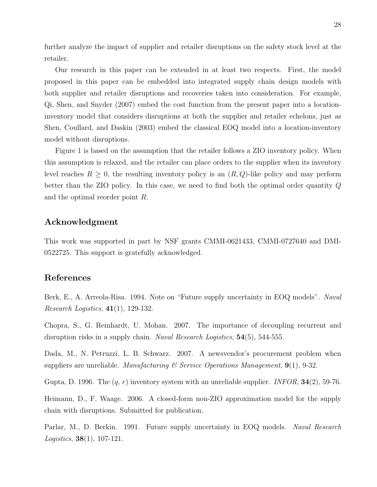further analyze the impact of supplier and retailer disruptions on the safety stock level at the retailer.

Our research in this paper can be extended in at least two respects. First, the model proposed in this paper can be embedded into integrated supply chain design models with both supplier and retailer disruptions and recoveries taken into consideration. For example, Qi, Shen, and Snyder (2007) embed the cost function from the present paper into a locationinventory model that considers disruptions at both the supplier and retailer echelons, just as Shen, Coullard, and Daskin (2003) embed the classical EOQ model into a location-inventory model without disruptions.

Figure 1 is based on the assumption that the retailer follows a ZIO inventory policy. When this assumption is relaxed, and the retailer can place orders to the supplier when its inventory level reaches  $R \geq 0$ , the resulting inventory policy is an  $(R, Q)$ -like policy and may perform better than the ZIO policy. In this case, we need to find both the optimal order quantity Q and the optimal reorder point R.

## Acknowledgment

This work was supported in part by NSF grants CMMI-0621433, CMMI-0727640 and DMI-0522725. This support is gratefully acknowledged.

## References

Berk, E., A. Arreola-Risa. 1994. Note on "Future supply uncertainty in EOQ models". Naval Research Logistics, 41(1), 129-132.

Chopra, S., G. Reinhardt, U. Mohan. 2007. The importance of decoupling recurrent and disruption risks in a supply chain. Naval Research Logistics, 54(5), 544-555.

Dada, M., N. Petruzzi, L. B. Schwarz. 2007. A newsvendor's procurement problem when suppliers are unreliable. Manufacturing & Service Operations Management,  $9(1)$ , 9-32.

Gupta, D. 1996. The  $(q, r)$  inventory system with an unreliable supplier. INFOR, 34(2), 59-76.

Heimann, D., F. Waage. 2006. A closed-form non-ZIO approximation model for the supply chain with disruptions. Submitted for publication.

Parlar, M., D. Berkin. 1991. Future supply uncertainty in EOQ models. Naval Research Logistics, 38(1), 107-121.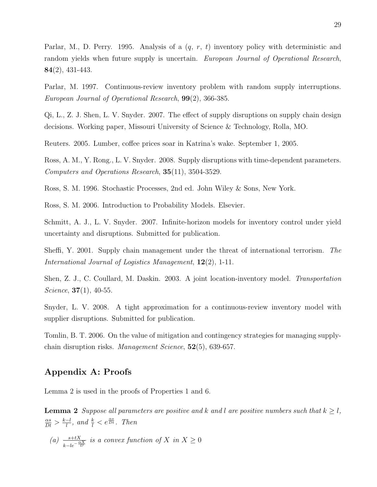Parlar, M., D. Perry. 1995. Analysis of a  $(q, r, t)$  inventory policy with deterministic and random yields when future supply is uncertain. European Journal of Operational Research, 84(2), 431-443.

Parlar, M. 1997. Continuous-review inventory problem with random supply interruptions. European Journal of Operational Research, 99(2), 366-385.

Qi, L., Z. J. Shen, L. V. Snyder. 2007. The effect of supply disruptions on supply chain design decisions. Working paper, Missouri University of Science & Technology, Rolla, MO.

Reuters. 2005. Lumber, coffee prices soar in Katrina's wake. September 1, 2005.

Ross, A. M., Y. Rong., L. V. Snyder. 2008. Supply disruptions with time-dependent parameters. Computers and Operations Research, 35(11), 3504-3529.

Ross, S. M. 1996. Stochastic Processes, 2nd ed. John Wiley & Sons, New York.

Ross, S. M. 2006. Introduction to Probability Models. Elsevier.

Schmitt, A. J., L. V. Snyder. 2007. Infinite-horizon models for inventory control under yield uncertainty and disruptions. Submitted for publication.

Sheffi, Y. 2001. Supply chain management under the threat of international terrorism. The International Journal of Logistics Management,  $12(2)$ , 1-11.

Shen, Z. J., C. Coullard, M. Daskin. 2003. A joint location-inventory model. Transportation Science,  $37(1)$ , 40-55.

Snyder, L. V. 2008. A tight approximation for a continuous-review inventory model with supplier disruptions. Submitted for publication.

Tomlin, B. T. 2006. On the value of mitigation and contingency strategies for managing supplychain disruption risks. Management Science, 52(5), 639-657.

## Appendix A: Proofs

Lemma 2 is used in the proofs of Properties 1 and 6.

**Lemma 2** Suppose all parameters are positive and k and l are positive numbers such that  $k \geq l$ ,  $\frac{\alpha s}{Dt} > \frac{k-l}{l}$  $\frac{-l}{l}$ , and  $\frac{k}{l} < e^{\frac{\alpha s}{Dt}}$ . Then

(a) 
$$
\frac{s+tX}{k-le^{-\frac{\alpha X}{D}}}
$$
 is a convex function of X in  $X \ge 0$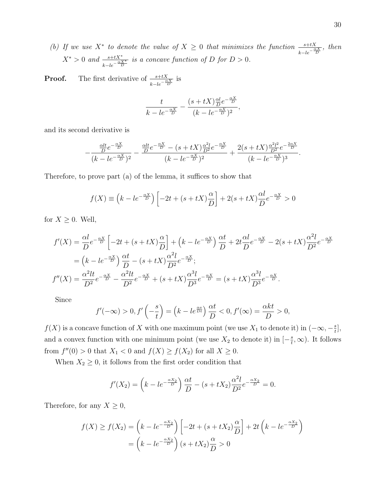(b) If we use  $X^*$  to denote the value of  $X \geq 0$  that minimizes the function  $\frac{s+tX}{k-le^{-\frac{\alpha X}{D}}}$ , then  $X^* > 0$  and  $\frac{s + tX^*}{k - le^{-\frac{\alpha X^*}{D}}}$  is a concave function of D for  $D > 0$ .

**Proof.** The first derivative of  $\frac{s+tX}{k-le^{-\frac{\alpha x}{D}}}$  is

$$
\frac{t}{k - le^{-\frac{\alpha X}{D}}} - \frac{(s + tX)\frac{\alpha l}{D}e^{-\frac{\alpha X}{D}}}{(k - le^{-\frac{\alpha X}{D}})^2},
$$

and its second derivative is

$$
-\frac{\frac{\alpha lt}{D}e^{-\frac{\alpha X}{D}}}{(k - le^{-\frac{\alpha X}{D}})^2} - \frac{\frac{\alpha lt}{D}e^{-\frac{\alpha X}{D}} - (s + tX)\frac{\alpha^2 l}{D^2}e^{-\frac{\alpha X}{D}}}{(k - le^{-\frac{\alpha X}{D}})^2} + \frac{2(s + tX)\frac{\alpha^2 l^2}{D^2}e^{-\frac{2\alpha X}{D}}}{(k - le^{-\frac{\alpha X}{D}})^3}.
$$

Therefore, to prove part (a) of the lemma, it suffices to show that

$$
f(X) \equiv \left(k - le^{-\frac{\alpha X}{D}}\right) \left[-2t + (s + tX)\frac{\alpha}{D}\right] + 2(s + tX)\frac{\alpha l}{D}e^{-\frac{\alpha X}{D}} > 0
$$

for  $X \geq 0$ . Well,

$$
f'(X) = \frac{\alpha l}{D} e^{-\frac{\alpha X}{D}} \left[ -2t + (s + tX)\frac{\alpha}{D} \right] + \left( k - le^{-\frac{\alpha X}{D}} \right) \frac{\alpha t}{D} + 2t \frac{\alpha l}{D} e^{-\frac{\alpha X}{D}} - 2(s + tX)\frac{\alpha^2 l}{D^2} e^{-\frac{\alpha X}{D}}
$$
  
=  $\left( k - le^{-\frac{\alpha X}{D}} \right) \frac{\alpha t}{D} - (s + tX)\frac{\alpha^2 l}{D^2} e^{-\frac{\alpha X}{D}};$   

$$
f''(X) = \frac{\alpha^2 l t}{D^2} e^{-\frac{\alpha X}{D}} - \frac{\alpha^2 l t}{D^2} e^{-\frac{\alpha X}{D}} + (s + tX)\frac{\alpha^3 l}{D^3} e^{-\frac{\alpha X}{D}} = (s + tX)\frac{\alpha^3 l}{D^3} e^{-\frac{\alpha X}{D}}.
$$

Since

$$
f'(-\infty) > 0, f'\left(-\frac{s}{t}\right) = \left(k - le^{\frac{\alpha s}{Dt}}\right) \frac{\alpha t}{D} < 0, f'(\infty) = \frac{\alpha kt}{D} > 0,
$$

 $f(X)$  is a concave function of X with one maximum point (we use  $X_1$  to denote it) in  $(-\infty, -\frac{s}{t})$  $\frac{s}{t}$ , and a convex function with one minimum point (we use  $X_2$  to denote it) in  $\left[-\frac{s}{t}\right]$  $(\frac{s}{t}, \infty)$ . It follows from  $f''(0) > 0$  that  $X_1 < 0$  and  $f(X) \ge f(X_2)$  for all  $X \ge 0$ .

When  $X_2 \geq 0$ , it follows from the first order condition that

$$
f'(X_2) = \left(k - le^{-\frac{\alpha X_2}{D}}\right)\frac{\alpha t}{D} - (s + tX_2)\frac{\alpha^2 l}{D^2}e^{-\frac{\alpha X_2}{D}} = 0.
$$

Therefore, for any  $X \geq 0$ ,

$$
f(X) \ge f(X_2) = \left(k - le^{-\frac{\alpha X_2}{D}}\right) \left[-2t + (s + tX_2)\frac{\alpha}{D}\right] + 2t\left(k - le^{-\frac{\alpha X_2}{D}}\right)
$$

$$
= \left(k - le^{-\frac{\alpha X_2}{D}}\right)(s + tX_2)\frac{\alpha}{D} > 0
$$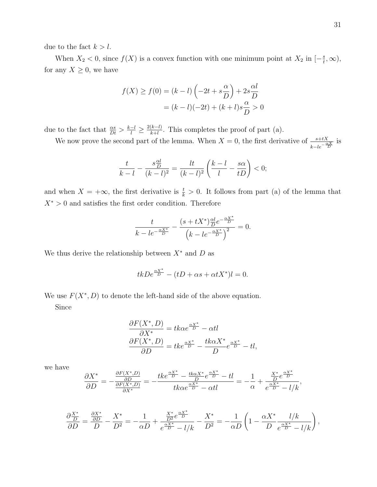due to the fact  $k > l$ .

When  $X_2 < 0$ , since  $f(X)$  is a convex function with one minimum point at  $X_2$  in  $\left[-\frac{1}{t}\right]$  $\frac{s}{t}, \infty),$ for any  $X \geq 0$ , we have

$$
f(X) \ge f(0) = (k - l) \left(-2t + s\frac{\alpha}{D}\right) + 2s\frac{\alpha l}{D}
$$

$$
= (k - l)(-2t) + (k + l)s\frac{\alpha}{D} > 0
$$

due to the fact that  $\frac{\alpha s}{Dt} > \frac{k-l}{l} \ge \frac{2(k-l)}{k+l}$  $\frac{k-l}{k+l}$ . This completes the proof of part (a).

We now prove the second part of the lemma. When  $X = 0$ , the first derivative of  $\frac{s + tX}{k - le^{-\frac{\alpha X}{D}}}$  is

$$
\frac{t}{k-l} - \frac{s\frac{\alpha l}{D}}{(k-l)^2} = \frac{lt}{(k-l)^2} \left(\frac{k-l}{l} - \frac{s\alpha}{tD}\right) < 0;
$$

and when  $X = +\infty$ , the first derivative is  $\frac{t}{k} > 0$ . It follows from part (a) of the lemma that  $X^* > 0$  and satisfies the first order condition. Therefore

$$
\frac{t}{k - le^{-\frac{\alpha X^*}{D}}} - \frac{(s + tX^*)\frac{\alpha l}{D}e^{-\frac{\alpha X^*}{D}}}{\left(k - le^{-\frac{\alpha X^*}{D}}\right)^2} = 0.
$$

We thus derive the relationship between  $X^*$  and D as

$$
tkDe^{\frac{\alpha X^*}{D}} - (tD + \alpha s + \alpha tX^*)l = 0.
$$

We use  $F(X^*, D)$  to denote the left-hand side of the above equation.

Since

$$
\frac{\partial F(X^*, D)}{\partial X^*} = t k \alpha e^{\frac{\alpha X^*}{D}} - \alpha t l
$$

$$
\frac{\partial F(X^*, D)}{\partial D} = t k e^{\frac{\alpha X^*}{D}} - \frac{t k \alpha X^*}{D} e^{\frac{\alpha X^*}{D}} - t l,
$$

we have

$$
\frac{\partial X^*}{\partial D} = -\frac{\frac{\partial F(X^*,D)}{\partial D}}{\frac{\partial F(X^*,D)}{\partial X^*}} = -\frac{tke^{\frac{\alpha X^*}{D}}-\frac{tkaX^*}{D}e^{\frac{\alpha X^*}{D}}-tl}{tk\alpha e^{\frac{\alpha X^*}{D}}-\alpha tl} = -\frac{1}{\alpha}+\frac{\frac{X^*}{D}e^{\frac{\alpha X^*}{D}}}{e^{\frac{\alpha X^*}{D}}-l/k},
$$

$$
\frac{\partial \frac{X^*}{D}}{\partial D} = \frac{\frac{\partial X^*}{\partial D}}{D} - \frac{X^*}{D^2} = -\frac{1}{\alpha D} + \frac{\frac{X^*}{D^2}e^{\frac{\alpha X^*}{D}}}{e^{\frac{\alpha X^*}{D}} - l/k} - \frac{X^*}{D^2} = -\frac{1}{\alpha D} \left( 1 - \frac{\alpha X^*}{D} \frac{l/k}{e^{\frac{\alpha X^*}{D}} - l/k} \right),
$$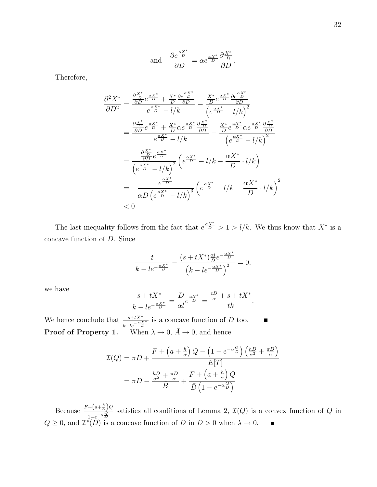and 
$$
\frac{\partial e^{\frac{\alpha X^*}{D}}}{\partial D} = \alpha e^{\frac{\alpha X^*}{D}} \frac{\partial \frac{X^*}{D}}{\partial D}.
$$

Therefore,

$$
\frac{\partial^2 X^*}{\partial D^2} = \frac{\frac{\partial \frac{X^*}{D}}{\partial D} e^{\frac{\alpha X^*}{D}} + \frac{X^*}{D} \frac{\partial e^{\frac{\alpha X^*}{D}}}{\partial D}}{e^{\frac{\alpha X^*}{D}} - l/k} - \frac{\frac{X^*}{D} e^{\frac{\alpha X^*}{D}} \frac{\partial e^{\frac{\alpha X^*}{D}}}{\partial D}}{\left(e^{\frac{\alpha X^*}{D}} - l/k\right)^2}
$$
\n
$$
= \frac{\frac{\partial \frac{X^*}{D}}{\partial D} e^{\frac{\alpha X^*}{D}} + \frac{X^*}{D} \alpha e^{\frac{\alpha X^*}{D}} \frac{\partial \frac{X^*}{D}}{\partial D}}{\frac{\partial D}{\partial D}} - \frac{\frac{X^*}{D} e^{\frac{\alpha X^*}{D}} \alpha e^{\frac{\alpha X^*}{D}} \frac{\partial \frac{X^*}{D}}{\partial D}}{\left(e^{\frac{\alpha X^*}{D}} - l/k\right)^2}
$$
\n
$$
= \frac{\frac{\partial \frac{X^*}{D}}{\partial D} e^{\frac{\alpha X^*}{D}}}{\left(e^{\frac{\alpha X^*}{D}} - l/k\right)^2} \left(e^{\frac{\alpha X^*}{D}} - l/k - \frac{\alpha X^*}{D} \cdot l/k\right)
$$
\n
$$
= -\frac{e^{\frac{\alpha X^*}{D}}}{\alpha D \left(e^{\frac{\alpha X^*}{D}} - l/k\right)^3} \left(e^{\frac{\alpha X^*}{D}} - l/k - \frac{\alpha X^*}{D} \cdot l/k\right)^2
$$
\n
$$
< 0
$$

The last inequality follows from the fact that  $e^{\frac{\alpha X^*}{D}} > 1 > l/k$ . We thus know that  $X^*$  is a concave function of D. Since

$$
\frac{t}{k - le^{-\frac{\alpha X^*}{D}}} - \frac{(s + tX^*)\frac{\alpha l}{D}e^{-\frac{\alpha X^*}{D}}}{\left(k - le^{-\frac{\alpha X^*}{D}}\right)^2} = 0,
$$

we have

$$
\frac{s + tX^*}{k - le^{-\frac{\alpha X^*}{D}}} = \frac{D}{\alpha l}e^{\frac{\alpha X^*}{D}} = \frac{\frac{tD}{\alpha} + s + tX^*}{tk}.
$$

We hence conclude that  $\frac{s+tX^*}{k-le^{-\frac{\alpha X^*}{D}}}$  is a concave function of D too. **Proof of Property 1.** When  $\lambda \to 0$ ,  $\overline{A} \to 0$ , and hence

$$
\mathcal{I}(Q) = \pi D + \frac{F + \left(a + \frac{h}{\alpha}\right)Q - \left(1 - e^{-\alpha \frac{Q}{D}}\right)\left(\frac{hD}{\alpha^2} + \frac{\pi D}{\alpha}\right)}{E[T]}
$$

$$
= \pi D - \frac{\frac{hD}{\alpha^2} + \frac{\pi D}{\alpha}}{\bar{B}} + \frac{F + \left(a + \frac{h}{\alpha}\right)Q}{\bar{B}\left(1 - e^{-\alpha \frac{Q}{D}}\right)}
$$

Because  $\frac{F+(a+\frac{h}{\alpha})Q}{Q}$  $\frac{\tau(a+\frac{a}{\alpha})Q}{1-e^{-\alpha}\frac{Q}{\mathcal{D}}}$  satisfies all conditions of Lemma 2,  $\mathcal{I}(Q)$  is a convex function of Q in  $Q \geq 0$ , and  $\mathcal{I}^*(D)$  is a concave function of D in  $D > 0$  when  $\lambda \to 0$ .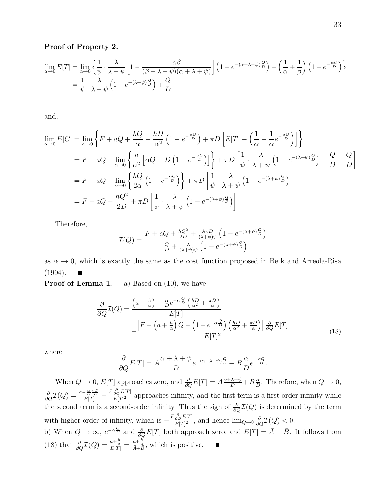#### Proof of Property 2.

$$
\lim_{\alpha \to 0} E[T] = \lim_{\alpha \to 0} \left\{ \frac{1}{\psi} \cdot \frac{\lambda}{\lambda + \psi} \left[ 1 - \frac{\alpha \beta}{(\beta + \lambda + \psi)(\alpha + \lambda + \psi)} \right] \left( 1 - e^{-(\alpha + \lambda + \psi)\frac{Q}{D}} \right) + \left( \frac{1}{\alpha} + \frac{1}{\beta} \right) \left( 1 - e^{-\frac{\alpha Q}{D}} \right) \right\}
$$
\n
$$
= \frac{1}{\psi} \cdot \frac{\lambda}{\lambda + \psi} \left( 1 - e^{-(\lambda + \psi)\frac{Q}{D}} \right) + \frac{Q}{D}
$$

and,

$$
\lim_{\alpha \to 0} E[C] = \lim_{\alpha \to 0} \left\{ F + aQ + \frac{hQ}{\alpha} - \frac{hD}{\alpha^2} \left( 1 - e^{-\frac{\alpha Q}{D}} \right) + \pi D \left[ E[T] - \left( \frac{1}{\alpha} - \frac{1}{\alpha} e^{-\frac{\alpha Q}{D}} \right) \right] \right\}
$$
\n
$$
= F + aQ + \lim_{\alpha \to 0} \left\{ \frac{h}{\alpha^2} \left[ \alpha Q - D \left( 1 - e^{-\frac{\alpha Q}{D}} \right) \right] \right\} + \pi D \left[ \frac{1}{\psi} \cdot \frac{\lambda}{\lambda + \psi} \left( 1 - e^{-(\lambda + \psi)\frac{Q}{D}} \right) + \frac{Q}{D} - \frac{Q}{D} \right]
$$
\n
$$
= F + aQ + \lim_{\alpha \to 0} \left\{ \frac{hQ}{2\alpha} \left( 1 - e^{-\frac{\alpha Q}{D}} \right) \right\} + \pi D \left[ \frac{1}{\psi} \cdot \frac{\lambda}{\lambda + \psi} \left( 1 - e^{-(\lambda + \psi)\frac{Q}{D}} \right) \right]
$$
\n
$$
= F + aQ + \frac{hQ^2}{2D} + \pi D \left[ \frac{1}{\psi} \cdot \frac{\lambda}{\lambda + \psi} \left( 1 - e^{-(\lambda + \psi)\frac{Q}{D}} \right) \right]
$$

Therefore,

$$
\mathcal{I}(Q) = \frac{F + aQ + \frac{hQ^2}{2D} + \frac{\lambda \pi D}{(\lambda + \psi)\psi} \left(1 - e^{-(\lambda + \psi)\frac{Q}{D}}\right)}{\frac{Q}{D} + \frac{\lambda}{(\lambda + \psi)\psi} \left(1 - e^{-(\lambda + \psi)\frac{Q}{D}}\right)}
$$

as  $\alpha \to 0$ , which is exactly the same as the cost function proposed in Berk and Arreola-Risa (1994). П

**Proof of Lemma 1.** a) Based on (10), we have

$$
\frac{\partial}{\partial Q}\mathcal{I}(Q) = \frac{\left(a + \frac{h}{\alpha}\right) - \frac{\alpha}{D}e^{-\alpha}\frac{Q}{D}\left(\frac{hD}{\alpha^2} + \frac{\pi D}{\alpha}\right)}{E[T]} - \frac{\left[F + \left(a + \frac{h}{\alpha}\right)Q - \left(1 - e^{-\alpha}\frac{Q}{D}\right)\left(\frac{hD}{\alpha^2} + \frac{\pi D}{\alpha}\right)\right]\frac{\partial}{\partial Q}E[T]}{E[T]^2}
$$
(18)

where

$$
\frac{\partial}{\partial Q}E[T] = \bar{A}\frac{\alpha + \lambda + \psi}{D}e^{-(\alpha + \lambda + \psi)\frac{Q}{D}} + \bar{B}\frac{\alpha}{D}e^{-\frac{\alpha Q}{D}}.
$$

When  $Q \to 0$ ,  $E[T]$  approaches zero, and  $\frac{\partial}{\partial Q}E[T] = \bar{A} \frac{\alpha + \lambda + \psi}{D} + \bar{B} \frac{\alpha}{D}$ . Therefore, when  $Q \to 0$ ,  $\frac{\partial}{\partial Q}\mathcal{I}(Q) = \frac{a-\frac{\alpha}{D}\frac{\pi D}{\alpha}}{E[T]} - \frac{F\frac{\partial}{\partial Q}E[T]}{E[T]^2}$ ∂  $\frac{\partial Q}{\partial [T]^2}$  approaches infinity, and the first term is a first-order infinity while the second term is a second-order infinity. Thus the sign of  $\frac{\partial}{\partial Q} \mathcal{I}(Q)$  is determined by the term with higher order of infinity, which is  $-\frac{F\frac{\partial}{\partial Q}E[T]}{E[T]2}$  $\frac{\partial \overline{Q} E[I]}{E[T]^2}$ , and hence  $\lim_{Q\to 0} \frac{\partial}{\partial Q} \mathcal{I}(Q) < 0$ . b) When  $Q \to \infty$ ,  $e^{-\alpha \frac{Q}{D}}$  and  $\frac{\partial}{\partial Q}E[T]$  both approach zero, and  $E[T] = \overline{A} + \overline{B}$ . It follows from (18) that  $\frac{\partial}{\partial Q} \mathcal{I}(Q) = \frac{a + \frac{h}{\alpha}}{E[T]} = \frac{a + \frac{h}{\alpha}}{A + B}$ , which is positive.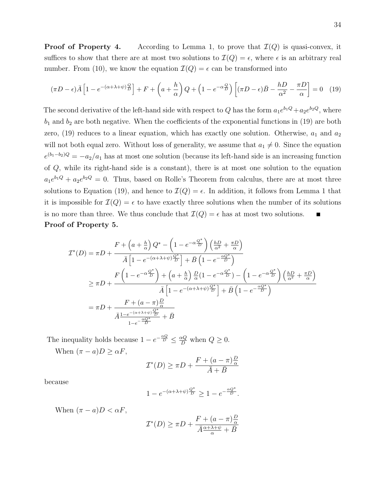**Proof of Property 4.** According to Lemma 1, to prove that  $\mathcal{I}(Q)$  is quasi-convex, it suffices to show that there are at most two solutions to  $\mathcal{I}(Q) = \epsilon$ , where  $\epsilon$  is an arbitrary real number. From (10), we know the equation  $\mathcal{I}(Q) = \epsilon$  can be transformed into

$$
(\pi D - \epsilon)\bar{A} \left[1 - e^{-(\alpha + \lambda + \psi)\frac{Q}{D}}\right] + F + \left(a + \frac{h}{\alpha}\right)Q + \left(1 - e^{-\alpha\frac{Q}{D}}\right)\left[(\pi D - \epsilon)\bar{B} - \frac{hD}{\alpha^2} - \frac{\pi D}{\alpha}\right] = 0 \quad (19)
$$

The second derivative of the left-hand side with respect to Q has the form  $a_1e^{b_1Q}+a_2e^{b_2Q}$ , where  $b_1$  and  $b_2$  are both negative. When the coefficients of the exponential functions in (19) are both zero,  $(19)$  reduces to a linear equation, which has exactly one solution. Otherwise,  $a_1$  and  $a_2$ will not both equal zero. Without loss of generality, we assume that  $a_1 \neq 0$ . Since the equation  $e^{(b_1-b_2)Q} = -a_2/a_1$  has at most one solution (because its left-hand side is an increasing function of Q, while its right-hand side is a constant), there is at most one solution to the equation  $a_1e^{b_1Q} + a_2e^{b_2Q} = 0$ . Thus, based on Rolle's Theorem from calculus, there are at most three solutions to Equation (19), and hence to  $\mathcal{I}(Q) = \epsilon$ . In addition, it follows from Lemma 1 that it is impossible for  $\mathcal{I}(Q) = \epsilon$  to have exactly three solutions when the number of its solutions is no more than three. We thus conclude that  $\mathcal{I}(Q) = \epsilon$  has at most two solutions.  $\blacksquare$ Proof of Property 5.

$$
\mathcal{I}^*(D) = \pi D + \frac{F + \left(a + \frac{h}{\alpha}\right)Q^* - \left(1 - e^{-\alpha \frac{Q^*}{D}}\right)\left(\frac{hD}{\alpha^2} + \frac{\pi D}{\alpha}\right)}{\bar{A}\left[1 - e^{-(\alpha + \lambda + \psi)\frac{Q^*}{D}}\right] + \bar{B}\left(1 - e^{-\frac{\alpha Q^*}{D}}\right)}
$$
\n
$$
\geq \pi D + \frac{F\left(1 - e^{-\alpha \frac{Q^*}{D}}\right) + \left(a + \frac{h}{\alpha}\right)\frac{D}{\alpha}\left(1 - e^{-\alpha \frac{Q^*}{D}}\right) - \left(1 - e^{-\alpha \frac{Q^*}{D}}\right)\left(\frac{hD}{\alpha^2} + \frac{\pi D}{\alpha}\right)}{\bar{A}\left[1 - e^{-(\alpha + \lambda + \psi)\frac{Q^*}{D}}\right] + \bar{B}\left(1 - e^{-\frac{\alpha Q^*}{D}}\right)}
$$
\n
$$
= \pi D + \frac{F + (a - \pi)\frac{D}{\alpha}}{\bar{A}\frac{1 - e^{-(\alpha + \lambda + \psi)\frac{Q^*}{D}}}{1 - e^{-\frac{\alpha Q^*}{D}}} + \bar{B}
$$

The inequality holds because  $1 - e^{-\frac{\alpha Q}{D}} \leq \frac{\alpha Q}{D}$  when  $Q \geq 0$ . When  $(\pi - a)D \geq \alpha F$ ,

$$
\mathcal{I}^*(D) \ge \pi D + \frac{F + (a - \pi)\frac{D}{\alpha}}{\bar{A} + \bar{B}}
$$

because

$$
1 - e^{-(\alpha + \lambda + \psi)\frac{Q^*}{D}} \ge 1 - e^{-\frac{\alpha Q^*}{D}}.
$$

When  $(\pi - a)D < \alpha F$ ,

$$
\mathcal{I}^*(D) \ge \pi D + \frac{F + (a - \pi)\frac{D}{\alpha}}{\bar{A}\frac{\alpha + \lambda + \psi}{\alpha} + \bar{B}}
$$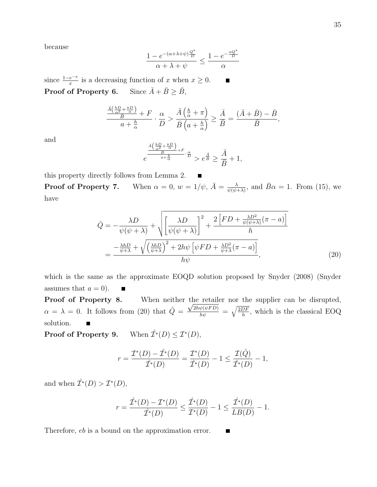because

$$
\frac{1-e^{-(\alpha+\lambda+\psi)\frac{Q^*}{D}}}{\alpha+\lambda+\psi}\leq \frac{1-e^{-\frac{\alpha Q^*}{D}}}{\alpha}
$$

since  $\frac{1-e^{-x}}{x}$  is a decreasing function of x when  $x \ge 0$ . **Proof of Property 6.** Since  $\bar{A} + \bar{B} \geq \bar{B}$ ,

$$
\frac{\frac{\bar{A}\left(\frac{hD}{\alpha^2} + \frac{\pi D}{\alpha}\right)}{\bar{B}} + F}{a + \frac{h}{\alpha}} \cdot \frac{\alpha}{D} > \frac{\bar{A}\left(\frac{h}{\alpha} + \pi\right)}{\bar{B}\left(a + \frac{h}{\alpha}\right)} \ge \frac{\bar{A}}{\bar{B}} = \frac{(\bar{A} + \bar{B}) - \bar{B}}{\bar{B}},
$$

and

$$
e^{\frac{\bar{A}\left(\frac{hD}{\alpha^2}+\frac{\pi D}{\alpha}\right)}{a+\frac{h}{\alpha}}\cdot\frac{\alpha}{D}}>e^{\frac{\bar{A}}{\bar{B}}} \geq \frac{\bar{A}}{\bar{B}}+1,
$$

this property directly follows from Lemma 2.  $\blacksquare$ 

**Proof of Property 7.** When  $\alpha = 0$ ,  $w = 1/\psi$ ,  $\bar{A} = \frac{\lambda}{\psi(\alpha)}$  $\frac{\lambda}{\psi(\psi+\lambda)}$ , and  $\bar{B}\alpha=1$ . From (15), we have

$$
\hat{Q} = -\frac{\lambda D}{\psi(\psi + \lambda)} + \sqrt{\left[\frac{\lambda D}{\psi(\psi + \lambda)}\right]^2 + \frac{2\left[FD + \frac{\lambda D^2}{\psi(\psi + \lambda)}(\pi - a)\right]}{h}}
$$
\n
$$
= \frac{-\frac{\lambda h D}{\psi + \lambda} + \sqrt{\left(\frac{\lambda h D}{\psi + \lambda}\right)^2 + 2h\psi\left[\psi FD + \frac{\lambda D^2}{\psi + \lambda}(\pi - a)\right]}}{h\psi},
$$
\n(20)

 $, , ,$ 

which is the same as the approximate EOQD solution proposed by Snyder (2008) (Snyder assumes that  $a = 0$ ). П

**Proof of Property 8.** When neither the retailer nor the supplier can be disrupted,  $\frac{6}{2DF}$  $\alpha = \lambda = 0$ . It follows from (20) that  $\hat{Q} = \frac{\sqrt{2h\psi(\psi FD)}}{h\psi}$  $\frac{DF}{h}$ , which is the classical EOQ solution.  $\blacksquare$ 

Proof of Property 9.  $(D) \leq \mathcal{I}^*(D),$ 

$$
r = \frac{\mathcal{I}^*(D) - \hat{\mathcal{I}^*}(D)}{\hat{\mathcal{I}^*}(D)} = \frac{\mathcal{I}^*(D)}{\hat{\mathcal{I}^*}(D)} - 1 \le \frac{\mathcal{I}(\hat{Q})}{\hat{\mathcal{I}^*}(D)} - 1
$$

and when  $\hat{\mathcal{I}}^*(D) > \mathcal{I}^*(D)$ ,

$$
r = \frac{\hat{\mathcal{I}}^*(D) - \mathcal{I}^*(D)}{\hat{\mathcal{I}}^*(D)} \le \frac{\hat{\mathcal{I}}^*(D)}{\mathcal{I}^*(D)} - 1 \le \frac{\hat{\mathcal{I}}^*(D)}{LB(D)} - 1.
$$

Therefore, eb is a bound on the approximation error.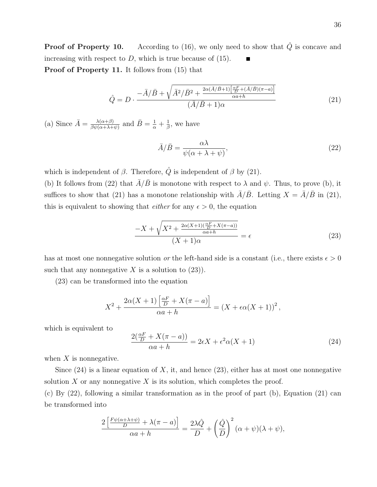**Proof of Property 10.** According to (16), we only need to show that  $\hat{Q}$  is concave and increasing with respect to  $D$ , which is true because of  $(15)$ . Proof of Property 11. It follows from  $(15)$  that

$$
\hat{Q} = D \cdot \frac{-\bar{A}/\bar{B} + \sqrt{\bar{A}^2/\bar{B}^2 + \frac{2\alpha(\bar{A}/\bar{B}+1)\left[\frac{\alpha F}{\bar{D}} + (\bar{A}/\bar{B})(\pi - a)\right]}{\alpha a + h}}}{(\bar{A}/\bar{B} + 1)\alpha} \tag{21}
$$

(a) Since  $\bar{A} = \frac{\lambda(\alpha+\beta)}{\beta_2\beta_1(\alpha+\lambda+1)}$  $\frac{\lambda(\alpha+\beta)}{\beta\psi(\alpha+\lambda+\psi)}$  and  $\bar{B}=\frac{1}{\alpha}+\frac{1}{\beta}$  $\frac{1}{\beta}$ , we have

$$
\bar{A}/\bar{B} = \frac{\alpha \lambda}{\psi(\alpha + \lambda + \psi)},\tag{22}
$$

which is independent of  $\beta$ . Therefore,  $\hat{Q}$  is independent of  $\beta$  by (21).

(b) It follows from (22) that  $\overline{A}/\overline{B}$  is monotone with respect to  $\lambda$  and  $\psi$ . Thus, to prove (b), it suffices to show that (21) has a monotone relationship with  $\overline{A}/\overline{B}$ . Letting  $X = \overline{A}/\overline{B}$  in (21), this is equivalent to showing that *either* for any  $\epsilon > 0$ , the equation

$$
\frac{-X + \sqrt{X^2 + \frac{2\alpha(X+1)\left(\frac{\alpha F}{D} + X(\pi - a)\right)}{\alpha a + h}}}{(X+1)\alpha} = \epsilon
$$
\n(23)

has at most one nonnegative solution or the left-hand side is a constant (i.e., there exists  $\epsilon > 0$ such that any nonnegative X is a solution to  $(23)$ ).

(23) can be transformed into the equation

$$
X^{2} + \frac{2\alpha(X+1)\left[\frac{\alpha F}{D} + X(\pi - a)\right]}{\alpha a + h} = (X + \epsilon \alpha(X+1))^{2},
$$

which is equivalent to

$$
\frac{2(\frac{\alpha F}{D} + X(\pi - a))}{\alpha a + h} = 2\epsilon X + \epsilon^2 \alpha (X + 1)
$$
\n(24)

when  $X$  is nonnegative.

Since  $(24)$  is a linear equation of X, it, and hence  $(23)$ , either has at most one nonnegative solution  $X$  or any nonnegative  $X$  is its solution, which completes the proof.

(c) By (22), following a similar transformation as in the proof of part (b), Equation (21) can be transformed into

$$
\frac{2\left[\frac{F\psi(\alpha+\lambda+\psi)}{D}+\lambda(\pi-a)\right]}{\alpha a+h}=\frac{2\lambda\hat{Q}}{D}+\left(\frac{\hat{Q}}{D}\right)^2(\alpha+\psi)(\lambda+\psi),
$$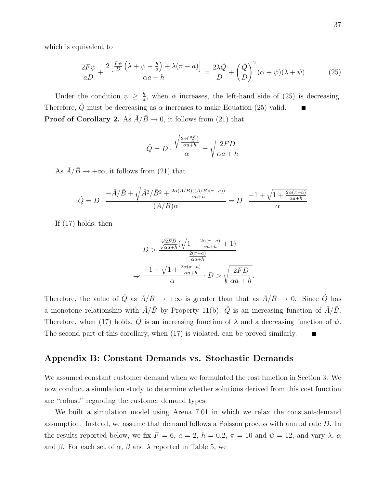which is equivalent to

$$
\frac{2F\psi}{aD} + \frac{2\left[\frac{F\psi}{D}\left(\lambda + \psi - \frac{h}{a}\right) + \lambda(\pi - a)\right]}{\alpha a + h} = \frac{2\lambda\hat{Q}}{D} + \left(\frac{\hat{Q}}{D}\right)^2(\alpha + \psi)(\lambda + \psi) \tag{25}
$$

Under the condition  $\psi \geq \frac{h}{a}$  $\frac{h}{a}$ , when  $\alpha$  increases, the left-hand side of (25) is decreasing. Therefore, Q must be decreasing as  $\alpha$  increases to make Equation (25) valid. **Proof of Corollary 2.** As  $\overline{A}/\overline{B} \rightarrow 0$ , it follows from (21) that

$$
\hat{Q} = D \cdot \frac{\sqrt{\frac{2\alpha(\frac{\alpha F}{D})}{\alpha a + h}}}{\alpha} = \sqrt{\frac{2FD}{\alpha a + h}}
$$

As  $\overline{A}/\overline{B} \rightarrow +\infty$ , it follows from (21) that

$$
\hat{Q} = D \cdot \frac{-\bar{A}/\bar{B} + \sqrt{\bar{A}^2/\bar{B}^2 + \frac{2\alpha(\bar{A}/\bar{B})(\bar{A}/\bar{B})(\pi - a)}{\alpha a + h}}}{(\bar{A}/\bar{B})\alpha} = D \cdot \frac{-1 + \sqrt{1 + \frac{2\alpha(\pi - a)}{\alpha a + h}}}{\alpha}
$$

If (17) holds, then

$$
D > \frac{\frac{\sqrt{2FD}}{\sqrt{\alpha a+h}} (\sqrt{1 + \frac{2\alpha(\pi - a)}{\alpha a+h}} + 1)}{\frac{2(\pi - a)}{\alpha a+h}}
$$

$$
\Rightarrow \frac{-1 + \sqrt{1 + \frac{2\alpha(\pi - a)}{\alpha a+h}}}{\alpha} \cdot D > \sqrt{\frac{2FD}{\alpha a+h}}.
$$

Therefore, the value of  $\hat{Q}$  as  $\bar{A}/\bar{B} \rightarrow +\infty$  is greater than that as  $\bar{A}/\bar{B} \rightarrow 0$ . Since  $\hat{Q}$  has a monotone relationship with  $\overline{A}/\overline{B}$  by Property 11(b),  $\hat{Q}$  is an increasing function of  $\overline{A}/\overline{B}$ . Therefore, when (17) holds,  $\hat{Q}$  is an increasing function of  $\lambda$  and a decreasing function of  $\psi$ . The second part of this corollary, when (17) is violated, can be proved similarly.

## Appendix B: Constant Demands vs. Stochastic Demands

We assumed constant customer demand when we formulated the cost function in Section 3. We now conduct a simulation study to determine whether solutions derived from this cost function are "robust" regarding the customer demand types.

We built a simulation model using Arena 7.01 in which we relax the constant-demand assumption. Instead, we assume that demand follows a Poisson process with annual rate D. In the results reported below, we fix  $F = 6$ ,  $a = 2$ ,  $h = 0.2$ ,  $\pi = 10$  and  $\psi = 12$ , and vary  $\lambda$ ,  $\alpha$ and  $\beta$ . For each set of  $\alpha$ ,  $\beta$  and  $\lambda$  reported in Table 5, we